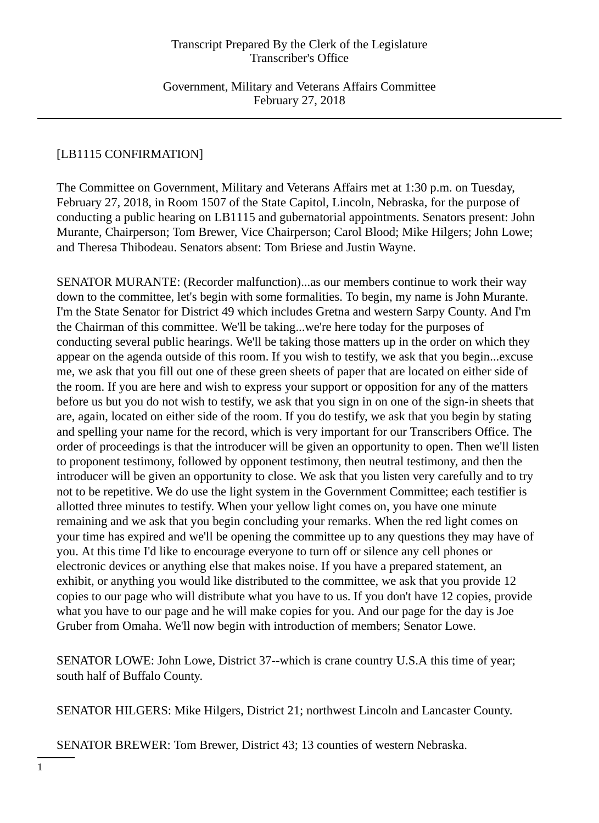Government, Military and Veterans Affairs Committee February 27, 2018

## [LB1115 CONFIRMATION]

The Committee on Government, Military and Veterans Affairs met at 1:30 p.m. on Tuesday, February 27, 2018, in Room 1507 of the State Capitol, Lincoln, Nebraska, for the purpose of conducting a public hearing on LB1115 and gubernatorial appointments. Senators present: John Murante, Chairperson; Tom Brewer, Vice Chairperson; Carol Blood; Mike Hilgers; John Lowe; and Theresa Thibodeau. Senators absent: Tom Briese and Justin Wayne.

SENATOR MURANTE: (Recorder malfunction)...as our members continue to work their way down to the committee, let's begin with some formalities. To begin, my name is John Murante. I'm the State Senator for District 49 which includes Gretna and western Sarpy County. And I'm the Chairman of this committee. We'll be taking...we're here today for the purposes of conducting several public hearings. We'll be taking those matters up in the order on which they appear on the agenda outside of this room. If you wish to testify, we ask that you begin...excuse me, we ask that you fill out one of these green sheets of paper that are located on either side of the room. If you are here and wish to express your support or opposition for any of the matters before us but you do not wish to testify, we ask that you sign in on one of the sign-in sheets that are, again, located on either side of the room. If you do testify, we ask that you begin by stating and spelling your name for the record, which is very important for our Transcribers Office. The order of proceedings is that the introducer will be given an opportunity to open. Then we'll listen to proponent testimony, followed by opponent testimony, then neutral testimony, and then the introducer will be given an opportunity to close. We ask that you listen very carefully and to try not to be repetitive. We do use the light system in the Government Committee; each testifier is allotted three minutes to testify. When your yellow light comes on, you have one minute remaining and we ask that you begin concluding your remarks. When the red light comes on your time has expired and we'll be opening the committee up to any questions they may have of you. At this time I'd like to encourage everyone to turn off or silence any cell phones or electronic devices or anything else that makes noise. If you have a prepared statement, an exhibit, or anything you would like distributed to the committee, we ask that you provide 12 copies to our page who will distribute what you have to us. If you don't have 12 copies, provide what you have to our page and he will make copies for you. And our page for the day is Joe Gruber from Omaha. We'll now begin with introduction of members; Senator Lowe.

SENATOR LOWE: John Lowe, District 37--which is crane country U.S.A this time of year; south half of Buffalo County.

SENATOR HILGERS: Mike Hilgers, District 21; northwest Lincoln and Lancaster County.

SENATOR BREWER: Tom Brewer, District 43; 13 counties of western Nebraska.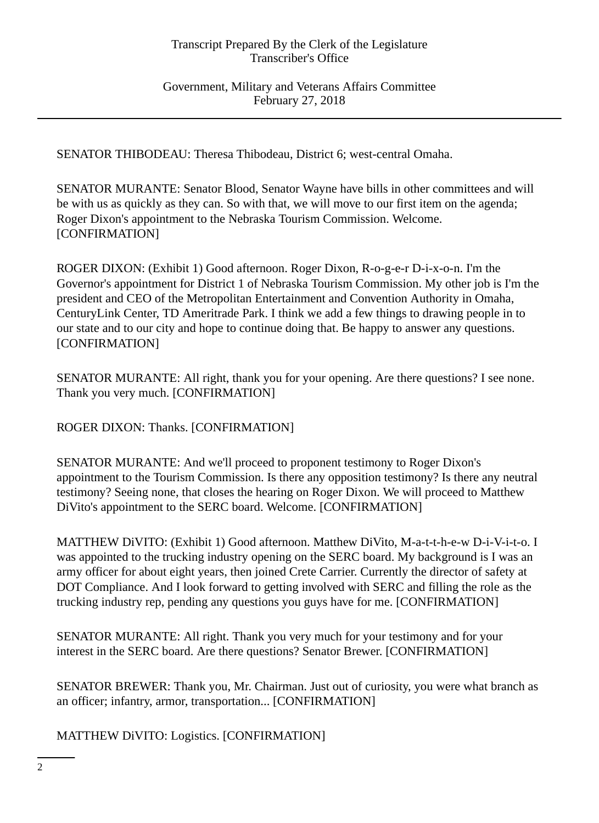Government, Military and Veterans Affairs Committee February 27, 2018

SENATOR THIBODEAU: Theresa Thibodeau, District 6; west-central Omaha.

SENATOR MURANTE: Senator Blood, Senator Wayne have bills in other committees and will be with us as quickly as they can. So with that, we will move to our first item on the agenda; Roger Dixon's appointment to the Nebraska Tourism Commission. Welcome. [CONFIRMATION]

ROGER DIXON: (Exhibit 1) Good afternoon. Roger Dixon, R-o-g-e-r D-i-x-o-n. I'm the Governor's appointment for District 1 of Nebraska Tourism Commission. My other job is I'm the president and CEO of the Metropolitan Entertainment and Convention Authority in Omaha, CenturyLink Center, TD Ameritrade Park. I think we add a few things to drawing people in to our state and to our city and hope to continue doing that. Be happy to answer any questions. [CONFIRMATION]

SENATOR MURANTE: All right, thank you for your opening. Are there questions? I see none. Thank you very much. [CONFIRMATION]

ROGER DIXON: Thanks. [CONFIRMATION]

SENATOR MURANTE: And we'll proceed to proponent testimony to Roger Dixon's appointment to the Tourism Commission. Is there any opposition testimony? Is there any neutral testimony? Seeing none, that closes the hearing on Roger Dixon. We will proceed to Matthew DiVito's appointment to the SERC board. Welcome. [CONFIRMATION]

MATTHEW DiVITO: (Exhibit 1) Good afternoon. Matthew DiVito, M-a-t-t-h-e-w D-i-V-i-t-o. I was appointed to the trucking industry opening on the SERC board. My background is I was an army officer for about eight years, then joined Crete Carrier. Currently the director of safety at DOT Compliance. And I look forward to getting involved with SERC and filling the role as the trucking industry rep, pending any questions you guys have for me. [CONFIRMATION]

SENATOR MURANTE: All right. Thank you very much for your testimony and for your interest in the SERC board. Are there questions? Senator Brewer. [CONFIRMATION]

SENATOR BREWER: Thank you, Mr. Chairman. Just out of curiosity, you were what branch as an officer; infantry, armor, transportation... [CONFIRMATION]

MATTHEW DiVITO: Logistics. [CONFIRMATION]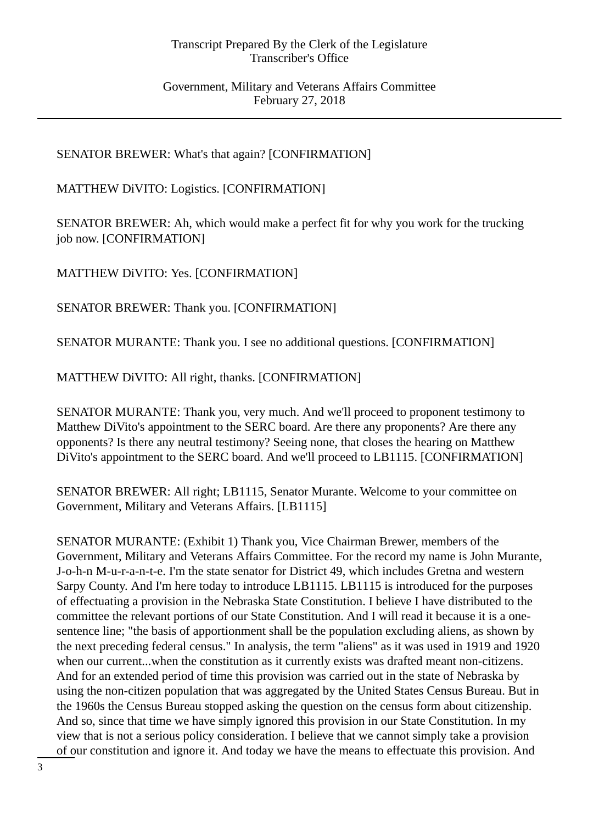## Government, Military and Veterans Affairs Committee February 27, 2018

# SENATOR BREWER: What's that again? [CONFIRMATION]

## MATTHEW DiVITO: Logistics. [CONFIRMATION]

SENATOR BREWER: Ah, which would make a perfect fit for why you work for the trucking job now. [CONFIRMATION]

MATTHEW DiVITO: Yes. [CONFIRMATION]

SENATOR BREWER: Thank you. [CONFIRMATION]

SENATOR MURANTE: Thank you. I see no additional questions. [CONFIRMATION]

MATTHEW DiVITO: All right, thanks. [CONFIRMATION]

SENATOR MURANTE: Thank you, very much. And we'll proceed to proponent testimony to Matthew DiVito's appointment to the SERC board. Are there any proponents? Are there any opponents? Is there any neutral testimony? Seeing none, that closes the hearing on Matthew DiVito's appointment to the SERC board. And we'll proceed to LB1115. [CONFIRMATION]

SENATOR BREWER: All right; LB1115, Senator Murante. Welcome to your committee on Government, Military and Veterans Affairs. [LB1115]

SENATOR MURANTE: (Exhibit 1) Thank you, Vice Chairman Brewer, members of the Government, Military and Veterans Affairs Committee. For the record my name is John Murante, J-o-h-n M-u-r-a-n-t-e. I'm the state senator for District 49, which includes Gretna and western Sarpy County. And I'm here today to introduce LB1115. LB1115 is introduced for the purposes of effectuating a provision in the Nebraska State Constitution. I believe I have distributed to the committee the relevant portions of our State Constitution. And I will read it because it is a onesentence line; "the basis of apportionment shall be the population excluding aliens, as shown by the next preceding federal census." In analysis, the term "aliens" as it was used in 1919 and 1920 when our current...when the constitution as it currently exists was drafted meant non-citizens. And for an extended period of time this provision was carried out in the state of Nebraska by using the non-citizen population that was aggregated by the United States Census Bureau. But in the 1960s the Census Bureau stopped asking the question on the census form about citizenship. And so, since that time we have simply ignored this provision in our State Constitution. In my view that is not a serious policy consideration. I believe that we cannot simply take a provision of our constitution and ignore it. And today we have the means to effectuate this provision. And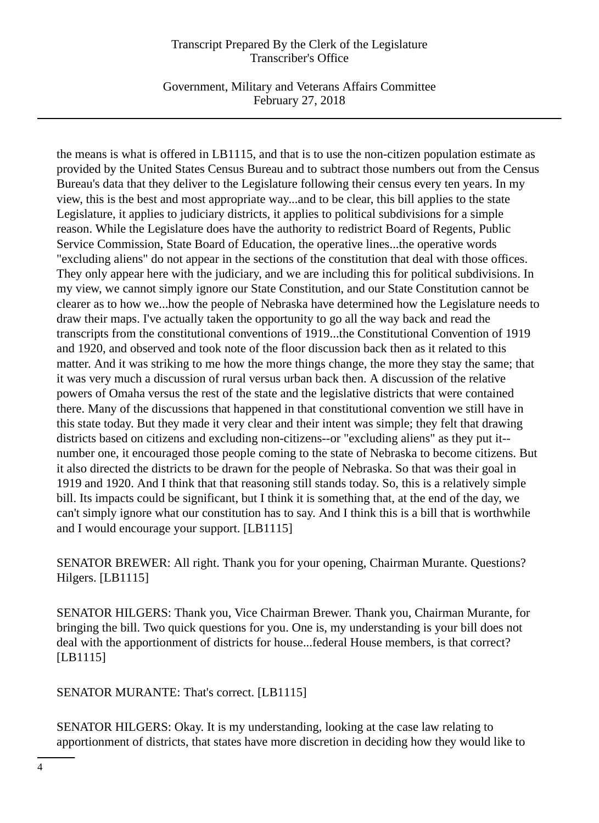Government, Military and Veterans Affairs Committee February 27, 2018

the means is what is offered in LB1115, and that is to use the non-citizen population estimate as provided by the United States Census Bureau and to subtract those numbers out from the Census Bureau's data that they deliver to the Legislature following their census every ten years. In my view, this is the best and most appropriate way...and to be clear, this bill applies to the state Legislature, it applies to judiciary districts, it applies to political subdivisions for a simple reason. While the Legislature does have the authority to redistrict Board of Regents, Public Service Commission, State Board of Education, the operative lines...the operative words "excluding aliens" do not appear in the sections of the constitution that deal with those offices. They only appear here with the judiciary, and we are including this for political subdivisions. In my view, we cannot simply ignore our State Constitution, and our State Constitution cannot be clearer as to how we...how the people of Nebraska have determined how the Legislature needs to draw their maps. I've actually taken the opportunity to go all the way back and read the transcripts from the constitutional conventions of 1919...the Constitutional Convention of 1919 and 1920, and observed and took note of the floor discussion back then as it related to this matter. And it was striking to me how the more things change, the more they stay the same; that it was very much a discussion of rural versus urban back then. A discussion of the relative powers of Omaha versus the rest of the state and the legislative districts that were contained there. Many of the discussions that happened in that constitutional convention we still have in this state today. But they made it very clear and their intent was simple; they felt that drawing districts based on citizens and excluding non-citizens--or "excluding aliens" as they put it- number one, it encouraged those people coming to the state of Nebraska to become citizens. But it also directed the districts to be drawn for the people of Nebraska. So that was their goal in 1919 and 1920. And I think that that reasoning still stands today. So, this is a relatively simple bill. Its impacts could be significant, but I think it is something that, at the end of the day, we can't simply ignore what our constitution has to say. And I think this is a bill that is worthwhile and I would encourage your support. [LB1115]

SENATOR BREWER: All right. Thank you for your opening, Chairman Murante. Questions? Hilgers. [LB1115]

SENATOR HILGERS: Thank you, Vice Chairman Brewer. Thank you, Chairman Murante, for bringing the bill. Two quick questions for you. One is, my understanding is your bill does not deal with the apportionment of districts for house...federal House members, is that correct? [LB1115]

SENATOR MURANTE: That's correct. [LB1115]

SENATOR HILGERS: Okay. It is my understanding, looking at the case law relating to apportionment of districts, that states have more discretion in deciding how they would like to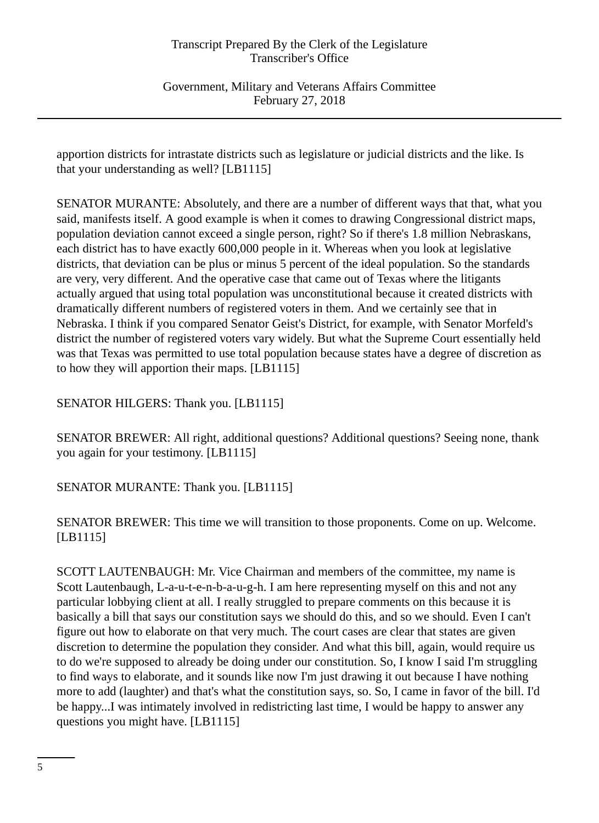Government, Military and Veterans Affairs Committee February 27, 2018

apportion districts for intrastate districts such as legislature or judicial districts and the like. Is that your understanding as well? [LB1115]

SENATOR MURANTE: Absolutely, and there are a number of different ways that that, what you said, manifests itself. A good example is when it comes to drawing Congressional district maps, population deviation cannot exceed a single person, right? So if there's 1.8 million Nebraskans, each district has to have exactly 600,000 people in it. Whereas when you look at legislative districts, that deviation can be plus or minus 5 percent of the ideal population. So the standards are very, very different. And the operative case that came out of Texas where the litigants actually argued that using total population was unconstitutional because it created districts with dramatically different numbers of registered voters in them. And we certainly see that in Nebraska. I think if you compared Senator Geist's District, for example, with Senator Morfeld's district the number of registered voters vary widely. But what the Supreme Court essentially held was that Texas was permitted to use total population because states have a degree of discretion as to how they will apportion their maps. [LB1115]

SENATOR HILGERS: Thank you. [LB1115]

SENATOR BREWER: All right, additional questions? Additional questions? Seeing none, thank you again for your testimony. [LB1115]

SENATOR MURANTE: Thank you. [LB1115]

SENATOR BREWER: This time we will transition to those proponents. Come on up. Welcome. [LB1115]

SCOTT LAUTENBAUGH: Mr. Vice Chairman and members of the committee, my name is Scott Lautenbaugh, L-a-u-t-e-n-b-a-u-g-h. I am here representing myself on this and not any particular lobbying client at all. I really struggled to prepare comments on this because it is basically a bill that says our constitution says we should do this, and so we should. Even I can't figure out how to elaborate on that very much. The court cases are clear that states are given discretion to determine the population they consider. And what this bill, again, would require us to do we're supposed to already be doing under our constitution. So, I know I said I'm struggling to find ways to elaborate, and it sounds like now I'm just drawing it out because I have nothing more to add (laughter) and that's what the constitution says, so. So, I came in favor of the bill. I'd be happy...I was intimately involved in redistricting last time, I would be happy to answer any questions you might have. [LB1115]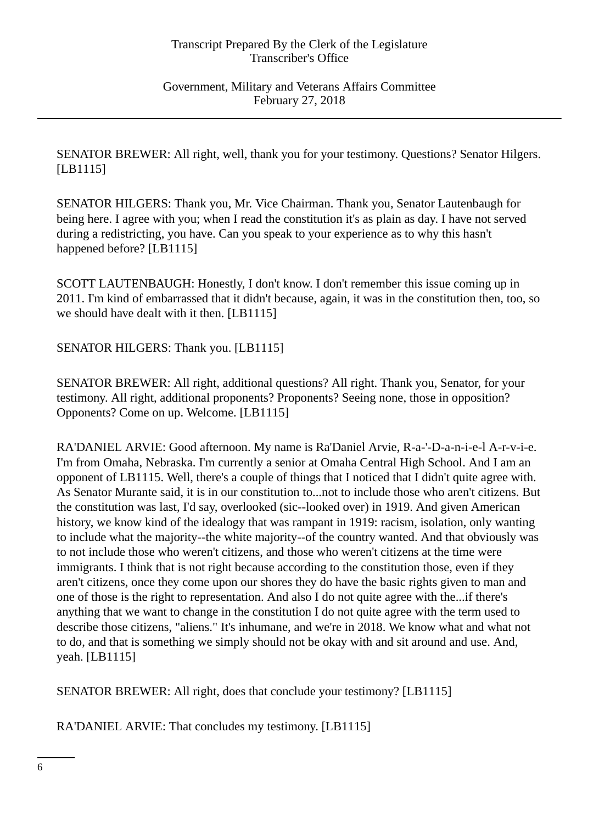SENATOR BREWER: All right, well, thank you for your testimony. Questions? Senator Hilgers. [LB1115]

SENATOR HILGERS: Thank you, Mr. Vice Chairman. Thank you, Senator Lautenbaugh for being here. I agree with you; when I read the constitution it's as plain as day. I have not served during a redistricting, you have. Can you speak to your experience as to why this hasn't happened before? [LB1115]

SCOTT LAUTENBAUGH: Honestly, I don't know. I don't remember this issue coming up in 2011. I'm kind of embarrassed that it didn't because, again, it was in the constitution then, too, so we should have dealt with it then. [LB1115]

SENATOR HILGERS: Thank you. [LB1115]

SENATOR BREWER: All right, additional questions? All right. Thank you, Senator, for your testimony. All right, additional proponents? Proponents? Seeing none, those in opposition? Opponents? Come on up. Welcome. [LB1115]

RA'DANIEL ARVIE: Good afternoon. My name is Ra'Daniel Arvie, R-a-'-D-a-n-i-e-l A-r-v-i-e. I'm from Omaha, Nebraska. I'm currently a senior at Omaha Central High School. And I am an opponent of LB1115. Well, there's a couple of things that I noticed that I didn't quite agree with. As Senator Murante said, it is in our constitution to...not to include those who aren't citizens. But the constitution was last, I'd say, overlooked (sic--looked over) in 1919. And given American history, we know kind of the idealogy that was rampant in 1919: racism, isolation, only wanting to include what the majority--the white majority--of the country wanted. And that obviously was to not include those who weren't citizens, and those who weren't citizens at the time were immigrants. I think that is not right because according to the constitution those, even if they aren't citizens, once they come upon our shores they do have the basic rights given to man and one of those is the right to representation. And also I do not quite agree with the...if there's anything that we want to change in the constitution I do not quite agree with the term used to describe those citizens, "aliens." It's inhumane, and we're in 2018. We know what and what not to do, and that is something we simply should not be okay with and sit around and use. And, yeah. [LB1115]

SENATOR BREWER: All right, does that conclude your testimony? [LB1115]

RA'DANIEL ARVIE: That concludes my testimony. [LB1115]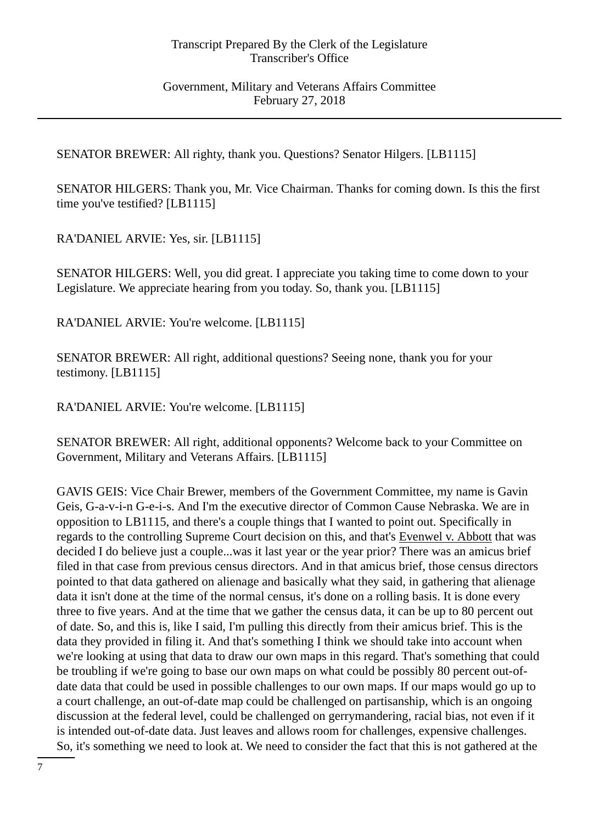Government, Military and Veterans Affairs Committee February 27, 2018

SENATOR BREWER: All righty, thank you. Questions? Senator Hilgers. [LB1115]

SENATOR HILGERS: Thank you, Mr. Vice Chairman. Thanks for coming down. Is this the first time you've testified? [LB1115]

RA'DANIEL ARVIE: Yes, sir. [LB1115]

SENATOR HILGERS: Well, you did great. I appreciate you taking time to come down to your Legislature. We appreciate hearing from you today. So, thank you. [LB1115]

RA'DANIEL ARVIE: You're welcome. [LB1115]

SENATOR BREWER: All right, additional questions? Seeing none, thank you for your testimony. [LB1115]

RA'DANIEL ARVIE: You're welcome. [LB1115]

SENATOR BREWER: All right, additional opponents? Welcome back to your Committee on Government, Military and Veterans Affairs. [LB1115]

GAVIS GEIS: Vice Chair Brewer, members of the Government Committee, my name is Gavin Geis, G-a-v-i-n G-e-i-s. And I'm the executive director of Common Cause Nebraska. We are in opposition to LB1115, and there's a couple things that I wanted to point out. Specifically in regards to the controlling Supreme Court decision on this, and that's Evenwel v. Abbott that was decided I do believe just a couple...was it last year or the year prior? There was an amicus brief filed in that case from previous census directors. And in that amicus brief, those census directors pointed to that data gathered on alienage and basically what they said, in gathering that alienage data it isn't done at the time of the normal census, it's done on a rolling basis. It is done every three to five years. And at the time that we gather the census data, it can be up to 80 percent out of date. So, and this is, like I said, I'm pulling this directly from their amicus brief. This is the data they provided in filing it. And that's something I think we should take into account when we're looking at using that data to draw our own maps in this regard. That's something that could be troubling if we're going to base our own maps on what could be possibly 80 percent out-ofdate data that could be used in possible challenges to our own maps. If our maps would go up to a court challenge, an out-of-date map could be challenged on partisanship, which is an ongoing discussion at the federal level, could be challenged on gerrymandering, racial bias, not even if it is intended out-of-date data. Just leaves and allows room for challenges, expensive challenges. So, it's something we need to look at. We need to consider the fact that this is not gathered at the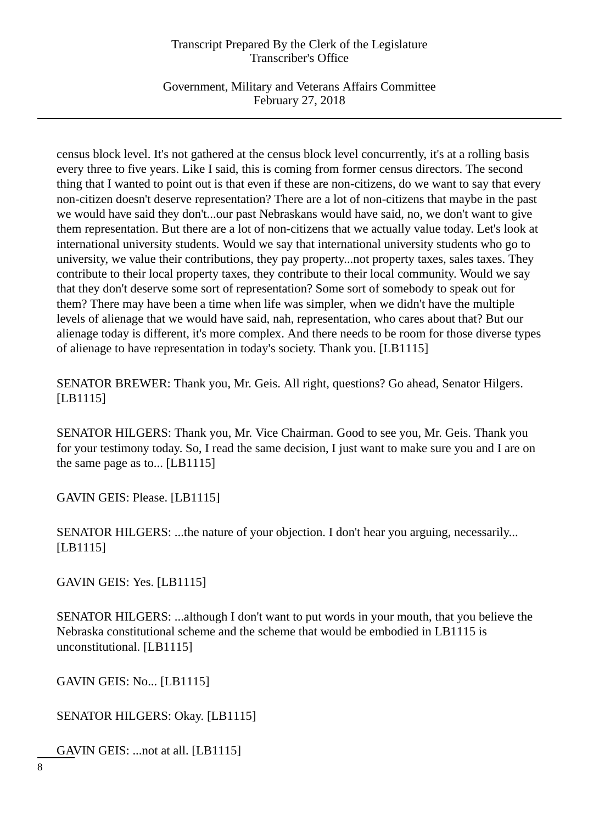Government, Military and Veterans Affairs Committee February 27, 2018

census block level. It's not gathered at the census block level concurrently, it's at a rolling basis every three to five years. Like I said, this is coming from former census directors. The second thing that I wanted to point out is that even if these are non-citizens, do we want to say that every non-citizen doesn't deserve representation? There are a lot of non-citizens that maybe in the past we would have said they don't...our past Nebraskans would have said, no, we don't want to give them representation. But there are a lot of non-citizens that we actually value today. Let's look at international university students. Would we say that international university students who go to university, we value their contributions, they pay property...not property taxes, sales taxes. They contribute to their local property taxes, they contribute to their local community. Would we say that they don't deserve some sort of representation? Some sort of somebody to speak out for them? There may have been a time when life was simpler, when we didn't have the multiple levels of alienage that we would have said, nah, representation, who cares about that? But our alienage today is different, it's more complex. And there needs to be room for those diverse types of alienage to have representation in today's society. Thank you. [LB1115]

SENATOR BREWER: Thank you, Mr. Geis. All right, questions? Go ahead, Senator Hilgers. [LB1115]

SENATOR HILGERS: Thank you, Mr. Vice Chairman. Good to see you, Mr. Geis. Thank you for your testimony today. So, I read the same decision, I just want to make sure you and I are on the same page as to... [LB1115]

GAVIN GEIS: Please. [LB1115]

SENATOR HILGERS: ...the nature of your objection. I don't hear you arguing, necessarily... [LB1115]

GAVIN GEIS: Yes. [LB1115]

SENATOR HILGERS: ...although I don't want to put words in your mouth, that you believe the Nebraska constitutional scheme and the scheme that would be embodied in LB1115 is unconstitutional. [LB1115]

GAVIN GEIS: No... [LB1115]

SENATOR HILGERS: Okay. [LB1115]

GAVIN GEIS: ...not at all. [LB1115]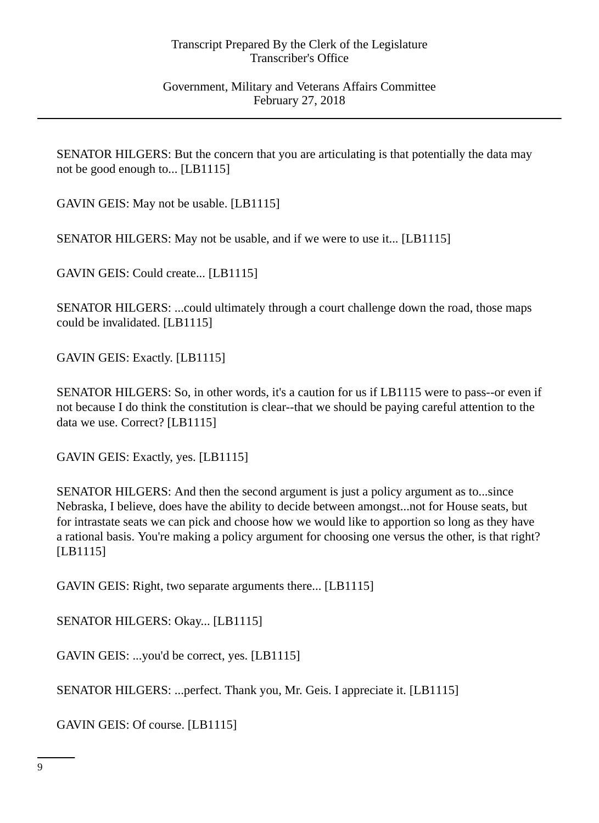SENATOR HILGERS: But the concern that you are articulating is that potentially the data may not be good enough to... [LB1115]

GAVIN GEIS: May not be usable. [LB1115]

SENATOR HILGERS: May not be usable, and if we were to use it... [LB1115]

GAVIN GEIS: Could create... [LB1115]

SENATOR HILGERS: ...could ultimately through a court challenge down the road, those maps could be invalidated. [LB1115]

GAVIN GEIS: Exactly. [LB1115]

SENATOR HILGERS: So, in other words, it's a caution for us if LB1115 were to pass--or even if not because I do think the constitution is clear--that we should be paying careful attention to the data we use. Correct? [LB1115]

GAVIN GEIS: Exactly, yes. [LB1115]

SENATOR HILGERS: And then the second argument is just a policy argument as to...since Nebraska, I believe, does have the ability to decide between amongst...not for House seats, but for intrastate seats we can pick and choose how we would like to apportion so long as they have a rational basis. You're making a policy argument for choosing one versus the other, is that right? [LB1115]

GAVIN GEIS: Right, two separate arguments there... [LB1115]

SENATOR HILGERS: Okay... [LB1115]

GAVIN GEIS: ...you'd be correct, yes. [LB1115]

SENATOR HILGERS: ...perfect. Thank you, Mr. Geis. I appreciate it. [LB1115]

GAVIN GEIS: Of course. [LB1115]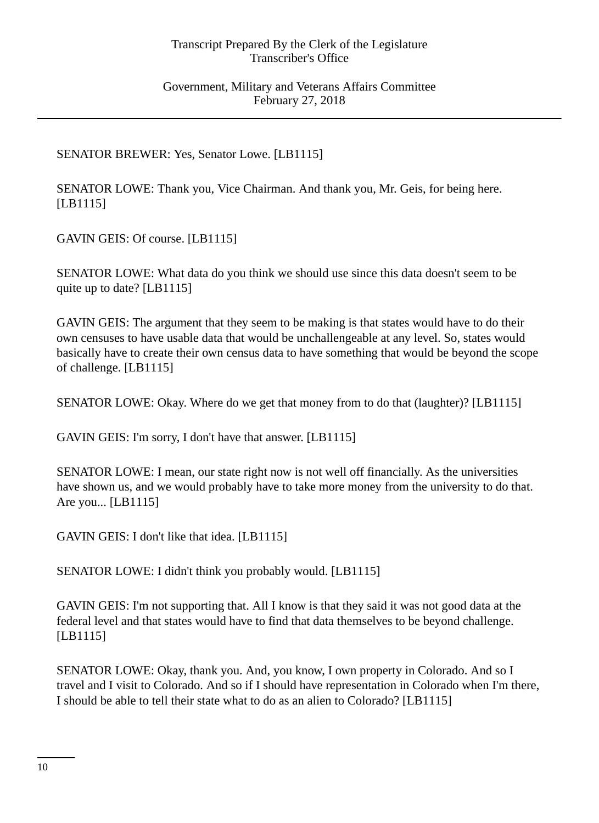SENATOR BREWER: Yes, Senator Lowe. [LB1115]

SENATOR LOWE: Thank you, Vice Chairman. And thank you, Mr. Geis, for being here. [LB1115]

GAVIN GEIS: Of course. [LB1115]

SENATOR LOWE: What data do you think we should use since this data doesn't seem to be quite up to date? [LB1115]

GAVIN GEIS: The argument that they seem to be making is that states would have to do their own censuses to have usable data that would be unchallengeable at any level. So, states would basically have to create their own census data to have something that would be beyond the scope of challenge. [LB1115]

SENATOR LOWE: Okay. Where do we get that money from to do that (laughter)? [LB1115]

GAVIN GEIS: I'm sorry, I don't have that answer. [LB1115]

SENATOR LOWE: I mean, our state right now is not well off financially. As the universities have shown us, and we would probably have to take more money from the university to do that. Are you... [LB1115]

GAVIN GEIS: I don't like that idea. [LB1115]

SENATOR LOWE: I didn't think you probably would. [LB1115]

GAVIN GEIS: I'm not supporting that. All I know is that they said it was not good data at the federal level and that states would have to find that data themselves to be beyond challenge. [LB1115]

SENATOR LOWE: Okay, thank you. And, you know, I own property in Colorado. And so I travel and I visit to Colorado. And so if I should have representation in Colorado when I'm there, I should be able to tell their state what to do as an alien to Colorado? [LB1115]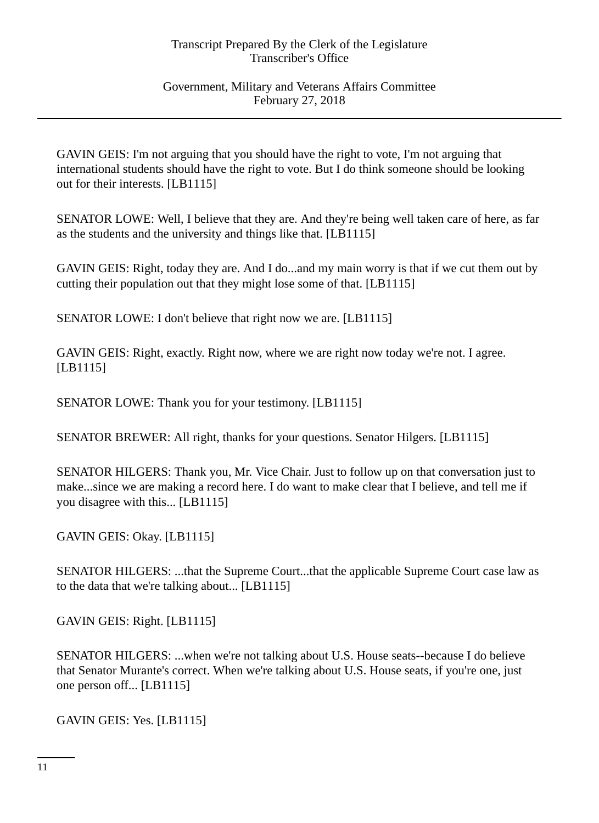Government, Military and Veterans Affairs Committee February 27, 2018

GAVIN GEIS: I'm not arguing that you should have the right to vote, I'm not arguing that international students should have the right to vote. But I do think someone should be looking out for their interests. [LB1115]

SENATOR LOWE: Well, I believe that they are. And they're being well taken care of here, as far as the students and the university and things like that. [LB1115]

GAVIN GEIS: Right, today they are. And I do...and my main worry is that if we cut them out by cutting their population out that they might lose some of that. [LB1115]

SENATOR LOWE: I don't believe that right now we are. [LB1115]

GAVIN GEIS: Right, exactly. Right now, where we are right now today we're not. I agree. [LB1115]

SENATOR LOWE: Thank you for your testimony. [LB1115]

SENATOR BREWER: All right, thanks for your questions. Senator Hilgers. [LB1115]

SENATOR HILGERS: Thank you, Mr. Vice Chair. Just to follow up on that conversation just to make...since we are making a record here. I do want to make clear that I believe, and tell me if you disagree with this... [LB1115]

GAVIN GEIS: Okay. [LB1115]

SENATOR HILGERS: ...that the Supreme Court...that the applicable Supreme Court case law as to the data that we're talking about... [LB1115]

GAVIN GEIS: Right. [LB1115]

SENATOR HILGERS: ...when we're not talking about U.S. House seats--because I do believe that Senator Murante's correct. When we're talking about U.S. House seats, if you're one, just one person off... [LB1115]

GAVIN GEIS: Yes. [LB1115]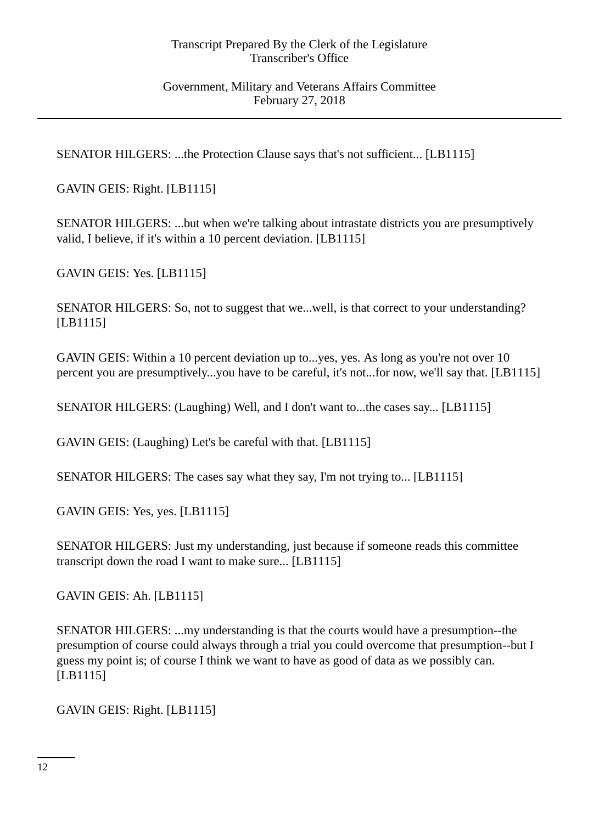Government, Military and Veterans Affairs Committee February 27, 2018

SENATOR HILGERS: ...the Protection Clause says that's not sufficient... [LB1115]

GAVIN GEIS: Right. [LB1115]

SENATOR HILGERS: ...but when we're talking about intrastate districts you are presumptively valid, I believe, if it's within a 10 percent deviation. [LB1115]

GAVIN GEIS: Yes. [LB1115]

SENATOR HILGERS: So, not to suggest that we...well, is that correct to your understanding? [LB1115]

GAVIN GEIS: Within a 10 percent deviation up to...yes, yes. As long as you're not over 10 percent you are presumptively...you have to be careful, it's not...for now, we'll say that. [LB1115]

SENATOR HILGERS: (Laughing) Well, and I don't want to...the cases say... [LB1115]

GAVIN GEIS: (Laughing) Let's be careful with that. [LB1115]

SENATOR HILGERS: The cases say what they say, I'm not trying to... [LB1115]

GAVIN GEIS: Yes, yes. [LB1115]

SENATOR HILGERS: Just my understanding, just because if someone reads this committee transcript down the road I want to make sure... [LB1115]

GAVIN GEIS: Ah. [LB1115]

SENATOR HILGERS: ...my understanding is that the courts would have a presumption--the presumption of course could always through a trial you could overcome that presumption--but I guess my point is; of course I think we want to have as good of data as we possibly can. [LB1115]

GAVIN GEIS: Right. [LB1115]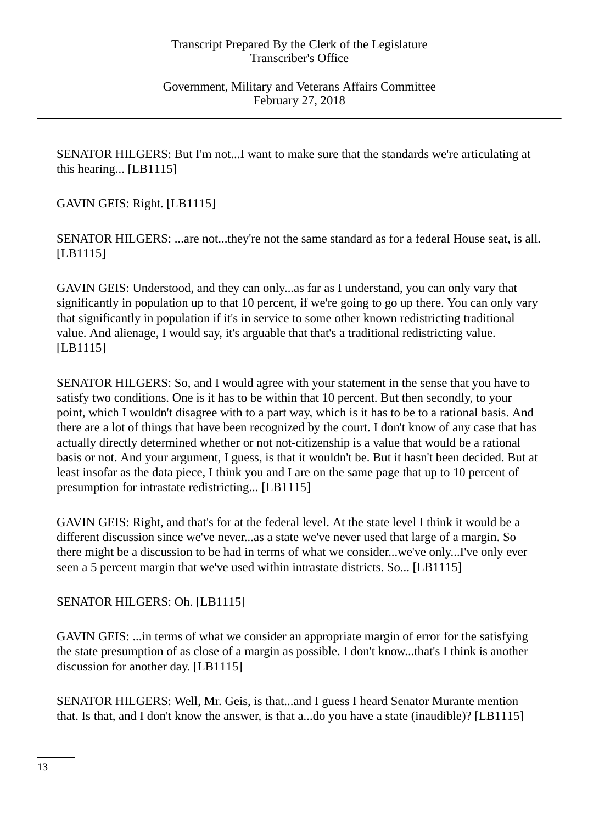SENATOR HILGERS: But I'm not...I want to make sure that the standards we're articulating at this hearing... [LB1115]

GAVIN GEIS: Right. [LB1115]

SENATOR HILGERS: ...are not...they're not the same standard as for a federal House seat, is all. [LB1115]

GAVIN GEIS: Understood, and they can only...as far as I understand, you can only vary that significantly in population up to that 10 percent, if we're going to go up there. You can only vary that significantly in population if it's in service to some other known redistricting traditional value. And alienage, I would say, it's arguable that that's a traditional redistricting value. [LB1115]

SENATOR HILGERS: So, and I would agree with your statement in the sense that you have to satisfy two conditions. One is it has to be within that 10 percent. But then secondly, to your point, which I wouldn't disagree with to a part way, which is it has to be to a rational basis. And there are a lot of things that have been recognized by the court. I don't know of any case that has actually directly determined whether or not not-citizenship is a value that would be a rational basis or not. And your argument, I guess, is that it wouldn't be. But it hasn't been decided. But at least insofar as the data piece, I think you and I are on the same page that up to 10 percent of presumption for intrastate redistricting... [LB1115]

GAVIN GEIS: Right, and that's for at the federal level. At the state level I think it would be a different discussion since we've never...as a state we've never used that large of a margin. So there might be a discussion to be had in terms of what we consider...we've only...I've only ever seen a 5 percent margin that we've used within intrastate districts. So... [LB1115]

# SENATOR HILGERS: Oh. [LB1115]

GAVIN GEIS: ...in terms of what we consider an appropriate margin of error for the satisfying the state presumption of as close of a margin as possible. I don't know...that's I think is another discussion for another day. [LB1115]

SENATOR HILGERS: Well, Mr. Geis, is that...and I guess I heard Senator Murante mention that. Is that, and I don't know the answer, is that a...do you have a state (inaudible)? [LB1115]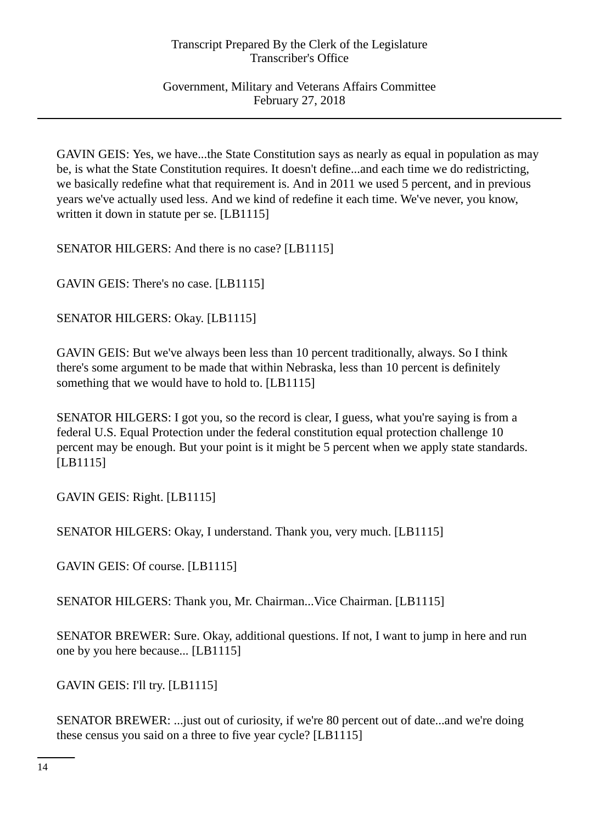Government, Military and Veterans Affairs Committee February 27, 2018

GAVIN GEIS: Yes, we have...the State Constitution says as nearly as equal in population as may be, is what the State Constitution requires. It doesn't define...and each time we do redistricting, we basically redefine what that requirement is. And in 2011 we used 5 percent, and in previous years we've actually used less. And we kind of redefine it each time. We've never, you know, written it down in statute per se. [LB1115]

SENATOR HILGERS: And there is no case? [LB1115]

GAVIN GEIS: There's no case. [LB1115]

SENATOR HILGERS: Okay. [LB1115]

GAVIN GEIS: But we've always been less than 10 percent traditionally, always. So I think there's some argument to be made that within Nebraska, less than 10 percent is definitely something that we would have to hold to. [LB1115]

SENATOR HILGERS: I got you, so the record is clear, I guess, what you're saying is from a federal U.S. Equal Protection under the federal constitution equal protection challenge 10 percent may be enough. But your point is it might be 5 percent when we apply state standards. [LB1115]

GAVIN GEIS: Right. [LB1115]

SENATOR HILGERS: Okay, I understand. Thank you, very much. [LB1115]

GAVIN GEIS: Of course. [LB1115]

SENATOR HILGERS: Thank you, Mr. Chairman...Vice Chairman. [LB1115]

SENATOR BREWER: Sure. Okay, additional questions. If not, I want to jump in here and run one by you here because... [LB1115]

GAVIN GEIS: I'll try. [LB1115]

SENATOR BREWER: ...just out of curiosity, if we're 80 percent out of date...and we're doing these census you said on a three to five year cycle? [LB1115]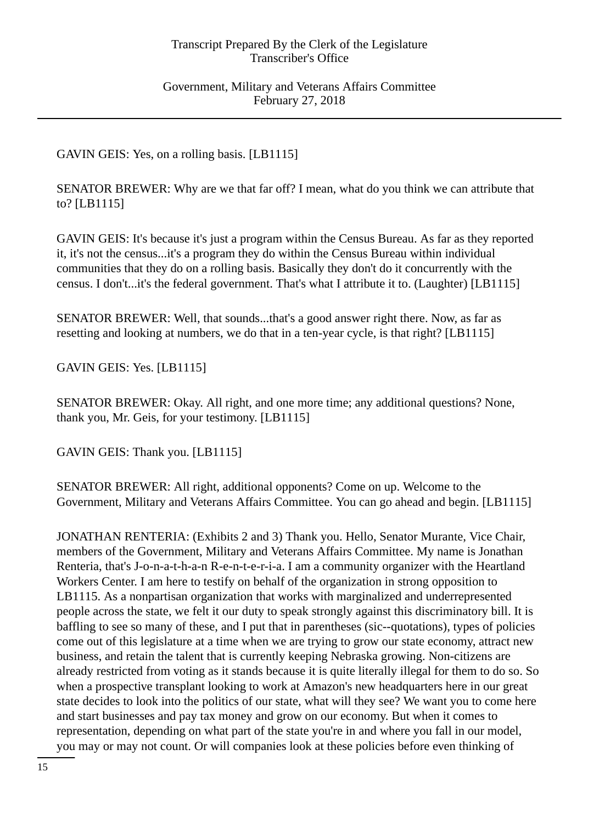Government, Military and Veterans Affairs Committee February 27, 2018

GAVIN GEIS: Yes, on a rolling basis. [LB1115]

SENATOR BREWER: Why are we that far off? I mean, what do you think we can attribute that to? [LB1115]

GAVIN GEIS: It's because it's just a program within the Census Bureau. As far as they reported it, it's not the census...it's a program they do within the Census Bureau within individual communities that they do on a rolling basis. Basically they don't do it concurrently with the census. I don't...it's the federal government. That's what I attribute it to. (Laughter) [LB1115]

SENATOR BREWER: Well, that sounds...that's a good answer right there. Now, as far as resetting and looking at numbers, we do that in a ten-year cycle, is that right? [LB1115]

GAVIN GEIS: Yes. [LB1115]

SENATOR BREWER: Okay. All right, and one more time; any additional questions? None, thank you, Mr. Geis, for your testimony. [LB1115]

GAVIN GEIS: Thank you. [LB1115]

SENATOR BREWER: All right, additional opponents? Come on up. Welcome to the Government, Military and Veterans Affairs Committee. You can go ahead and begin. [LB1115]

JONATHAN RENTERIA: (Exhibits 2 and 3) Thank you. Hello, Senator Murante, Vice Chair, members of the Government, Military and Veterans Affairs Committee. My name is Jonathan Renteria, that's J-o-n-a-t-h-a-n R-e-n-t-e-r-i-a. I am a community organizer with the Heartland Workers Center. I am here to testify on behalf of the organization in strong opposition to LB1115. As a nonpartisan organization that works with marginalized and underrepresented people across the state, we felt it our duty to speak strongly against this discriminatory bill. It is baffling to see so many of these, and I put that in parentheses (sic--quotations), types of policies come out of this legislature at a time when we are trying to grow our state economy, attract new business, and retain the talent that is currently keeping Nebraska growing. Non-citizens are already restricted from voting as it stands because it is quite literally illegal for them to do so. So when a prospective transplant looking to work at Amazon's new headquarters here in our great state decides to look into the politics of our state, what will they see? We want you to come here and start businesses and pay tax money and grow on our economy. But when it comes to representation, depending on what part of the state you're in and where you fall in our model, you may or may not count. Or will companies look at these policies before even thinking of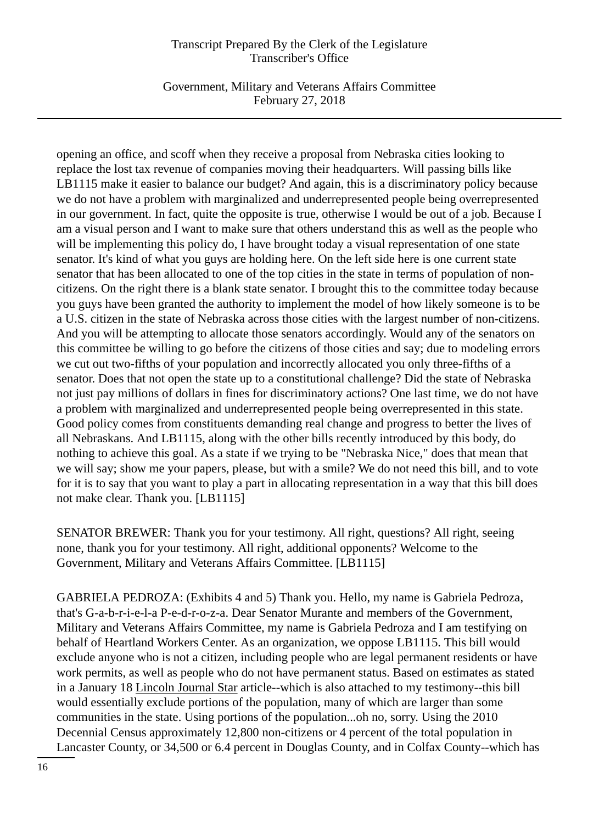Government, Military and Veterans Affairs Committee February 27, 2018

opening an office, and scoff when they receive a proposal from Nebraska cities looking to replace the lost tax revenue of companies moving their headquarters. Will passing bills like LB1115 make it easier to balance our budget? And again, this is a discriminatory policy because we do not have a problem with marginalized and underrepresented people being overrepresented in our government. In fact, quite the opposite is true, otherwise I would be out of a job. Because I am a visual person and I want to make sure that others understand this as well as the people who will be implementing this policy do, I have brought today a visual representation of one state senator. It's kind of what you guys are holding here. On the left side here is one current state senator that has been allocated to one of the top cities in the state in terms of population of noncitizens. On the right there is a blank state senator. I brought this to the committee today because you guys have been granted the authority to implement the model of how likely someone is to be a U.S. citizen in the state of Nebraska across those cities with the largest number of non-citizens. And you will be attempting to allocate those senators accordingly. Would any of the senators on this committee be willing to go before the citizens of those cities and say; due to modeling errors we cut out two-fifths of your population and incorrectly allocated you only three-fifths of a senator. Does that not open the state up to a constitutional challenge? Did the state of Nebraska not just pay millions of dollars in fines for discriminatory actions? One last time, we do not have a problem with marginalized and underrepresented people being overrepresented in this state. Good policy comes from constituents demanding real change and progress to better the lives of all Nebraskans. And LB1115, along with the other bills recently introduced by this body, do nothing to achieve this goal. As a state if we trying to be "Nebraska Nice," does that mean that we will say; show me your papers, please, but with a smile? We do not need this bill, and to vote for it is to say that you want to play a part in allocating representation in a way that this bill does not make clear. Thank you. [LB1115]

SENATOR BREWER: Thank you for your testimony. All right, questions? All right, seeing none, thank you for your testimony. All right, additional opponents? Welcome to the Government, Military and Veterans Affairs Committee. [LB1115]

GABRIELA PEDROZA: (Exhibits 4 and 5) Thank you. Hello, my name is Gabriela Pedroza, that's G-a-b-r-i-e-l-a P-e-d-r-o-z-a. Dear Senator Murante and members of the Government, Military and Veterans Affairs Committee, my name is Gabriela Pedroza and I am testifying on behalf of Heartland Workers Center. As an organization, we oppose LB1115. This bill would exclude anyone who is not a citizen, including people who are legal permanent residents or have work permits, as well as people who do not have permanent status. Based on estimates as stated in a January 18 Lincoln Journal Star article--which is also attached to my testimony--this bill would essentially exclude portions of the population, many of which are larger than some communities in the state. Using portions of the population...oh no, sorry. Using the 2010 Decennial Census approximately 12,800 non-citizens or 4 percent of the total population in Lancaster County, or 34,500 or 6.4 percent in Douglas County, and in Colfax County--which has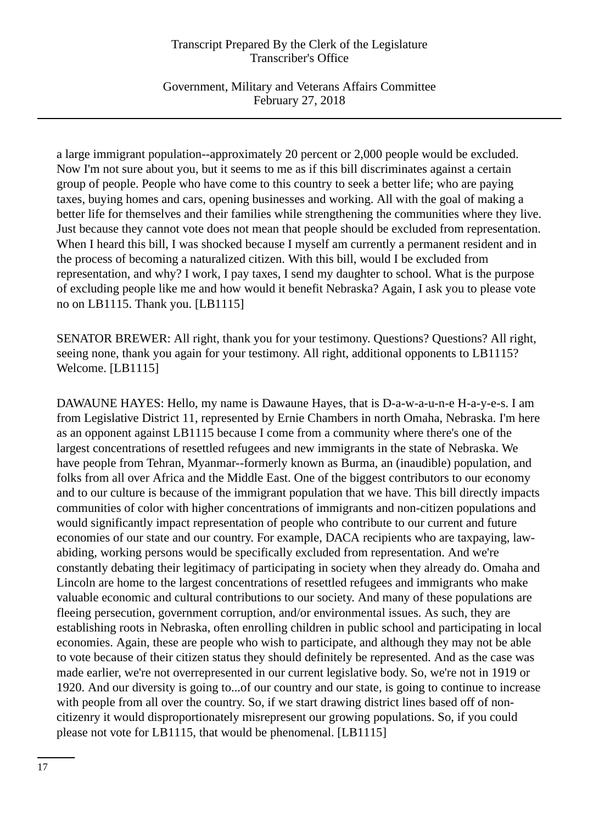Government, Military and Veterans Affairs Committee February 27, 2018

a large immigrant population--approximately 20 percent or 2,000 people would be excluded. Now I'm not sure about you, but it seems to me as if this bill discriminates against a certain group of people. People who have come to this country to seek a better life; who are paying taxes, buying homes and cars, opening businesses and working. All with the goal of making a better life for themselves and their families while strengthening the communities where they live. Just because they cannot vote does not mean that people should be excluded from representation. When I heard this bill, I was shocked because I myself am currently a permanent resident and in the process of becoming a naturalized citizen. With this bill, would I be excluded from representation, and why? I work, I pay taxes, I send my daughter to school. What is the purpose of excluding people like me and how would it benefit Nebraska? Again, I ask you to please vote no on LB1115. Thank you. [LB1115]

SENATOR BREWER: All right, thank you for your testimony. Questions? Questions? All right, seeing none, thank you again for your testimony. All right, additional opponents to LB1115? Welcome. [LB1115]

DAWAUNE HAYES: Hello, my name is Dawaune Hayes, that is D-a-w-a-u-n-e H-a-y-e-s. I am from Legislative District 11, represented by Ernie Chambers in north Omaha, Nebraska. I'm here as an opponent against LB1115 because I come from a community where there's one of the largest concentrations of resettled refugees and new immigrants in the state of Nebraska. We have people from Tehran, Myanmar--formerly known as Burma, an (inaudible) population, and folks from all over Africa and the Middle East. One of the biggest contributors to our economy and to our culture is because of the immigrant population that we have. This bill directly impacts communities of color with higher concentrations of immigrants and non-citizen populations and would significantly impact representation of people who contribute to our current and future economies of our state and our country. For example, DACA recipients who are taxpaying, lawabiding, working persons would be specifically excluded from representation. And we're constantly debating their legitimacy of participating in society when they already do. Omaha and Lincoln are home to the largest concentrations of resettled refugees and immigrants who make valuable economic and cultural contributions to our society. And many of these populations are fleeing persecution, government corruption, and/or environmental issues. As such, they are establishing roots in Nebraska, often enrolling children in public school and participating in local economies. Again, these are people who wish to participate, and although they may not be able to vote because of their citizen status they should definitely be represented. And as the case was made earlier, we're not overrepresented in our current legislative body. So, we're not in 1919 or 1920. And our diversity is going to...of our country and our state, is going to continue to increase with people from all over the country. So, if we start drawing district lines based off of noncitizenry it would disproportionately misrepresent our growing populations. So, if you could please not vote for LB1115, that would be phenomenal. [LB1115]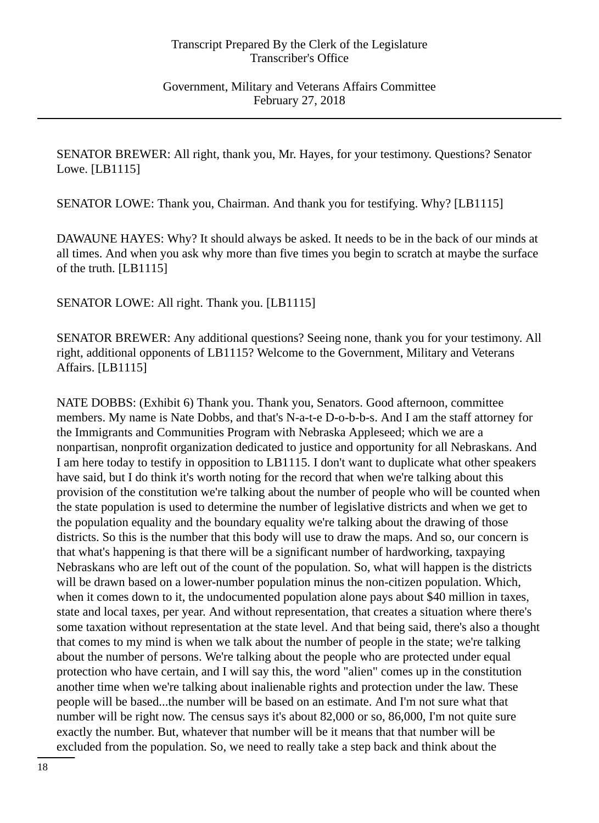SENATOR BREWER: All right, thank you, Mr. Hayes, for your testimony. Questions? Senator Lowe. [LB1115]

SENATOR LOWE: Thank you, Chairman. And thank you for testifying. Why? [LB1115]

DAWAUNE HAYES: Why? It should always be asked. It needs to be in the back of our minds at all times. And when you ask why more than five times you begin to scratch at maybe the surface of the truth. [LB1115]

SENATOR LOWE: All right. Thank you. [LB1115]

SENATOR BREWER: Any additional questions? Seeing none, thank you for your testimony. All right, additional opponents of LB1115? Welcome to the Government, Military and Veterans Affairs. [LB1115]

NATE DOBBS: (Exhibit 6) Thank you. Thank you, Senators. Good afternoon, committee members. My name is Nate Dobbs, and that's N-a-t-e D-o-b-b-s. And I am the staff attorney for the Immigrants and Communities Program with Nebraska Appleseed; which we are a nonpartisan, nonprofit organization dedicated to justice and opportunity for all Nebraskans. And I am here today to testify in opposition to LB1115. I don't want to duplicate what other speakers have said, but I do think it's worth noting for the record that when we're talking about this provision of the constitution we're talking about the number of people who will be counted when the state population is used to determine the number of legislative districts and when we get to the population equality and the boundary equality we're talking about the drawing of those districts. So this is the number that this body will use to draw the maps. And so, our concern is that what's happening is that there will be a significant number of hardworking, taxpaying Nebraskans who are left out of the count of the population. So, what will happen is the districts will be drawn based on a lower-number population minus the non-citizen population. Which, when it comes down to it, the undocumented population alone pays about \$40 million in taxes, state and local taxes, per year. And without representation, that creates a situation where there's some taxation without representation at the state level. And that being said, there's also a thought that comes to my mind is when we talk about the number of people in the state; we're talking about the number of persons. We're talking about the people who are protected under equal protection who have certain, and I will say this, the word "alien" comes up in the constitution another time when we're talking about inalienable rights and protection under the law. These people will be based...the number will be based on an estimate. And I'm not sure what that number will be right now. The census says it's about 82,000 or so, 86,000, I'm not quite sure exactly the number. But, whatever that number will be it means that that number will be excluded from the population. So, we need to really take a step back and think about the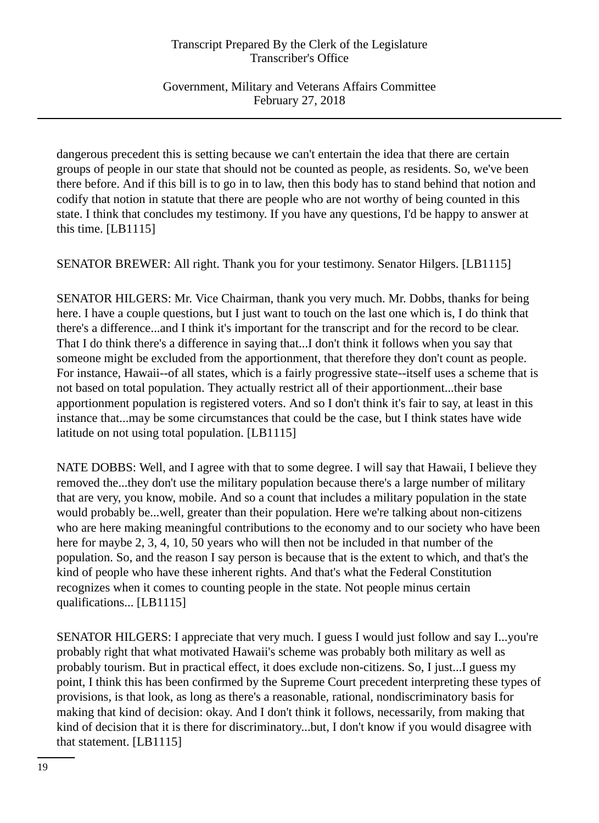Government, Military and Veterans Affairs Committee February 27, 2018

dangerous precedent this is setting because we can't entertain the idea that there are certain groups of people in our state that should not be counted as people, as residents. So, we've been there before. And if this bill is to go in to law, then this body has to stand behind that notion and codify that notion in statute that there are people who are not worthy of being counted in this state. I think that concludes my testimony. If you have any questions, I'd be happy to answer at this time. [LB1115]

SENATOR BREWER: All right. Thank you for your testimony. Senator Hilgers. [LB1115]

SENATOR HILGERS: Mr. Vice Chairman, thank you very much. Mr. Dobbs, thanks for being here. I have a couple questions, but I just want to touch on the last one which is, I do think that there's a difference...and I think it's important for the transcript and for the record to be clear. That I do think there's a difference in saying that...I don't think it follows when you say that someone might be excluded from the apportionment, that therefore they don't count as people. For instance, Hawaii--of all states, which is a fairly progressive state--itself uses a scheme that is not based on total population. They actually restrict all of their apportionment...their base apportionment population is registered voters. And so I don't think it's fair to say, at least in this instance that...may be some circumstances that could be the case, but I think states have wide latitude on not using total population. [LB1115]

NATE DOBBS: Well, and I agree with that to some degree. I will say that Hawaii, I believe they removed the...they don't use the military population because there's a large number of military that are very, you know, mobile. And so a count that includes a military population in the state would probably be...well, greater than their population. Here we're talking about non-citizens who are here making meaningful contributions to the economy and to our society who have been here for maybe 2, 3, 4, 10, 50 years who will then not be included in that number of the population. So, and the reason I say person is because that is the extent to which, and that's the kind of people who have these inherent rights. And that's what the Federal Constitution recognizes when it comes to counting people in the state. Not people minus certain qualifications... [LB1115]

SENATOR HILGERS: I appreciate that very much. I guess I would just follow and say I...you're probably right that what motivated Hawaii's scheme was probably both military as well as probably tourism. But in practical effect, it does exclude non-citizens. So, I just...I guess my point, I think this has been confirmed by the Supreme Court precedent interpreting these types of provisions, is that look, as long as there's a reasonable, rational, nondiscriminatory basis for making that kind of decision: okay. And I don't think it follows, necessarily, from making that kind of decision that it is there for discriminatory...but, I don't know if you would disagree with that statement. [LB1115]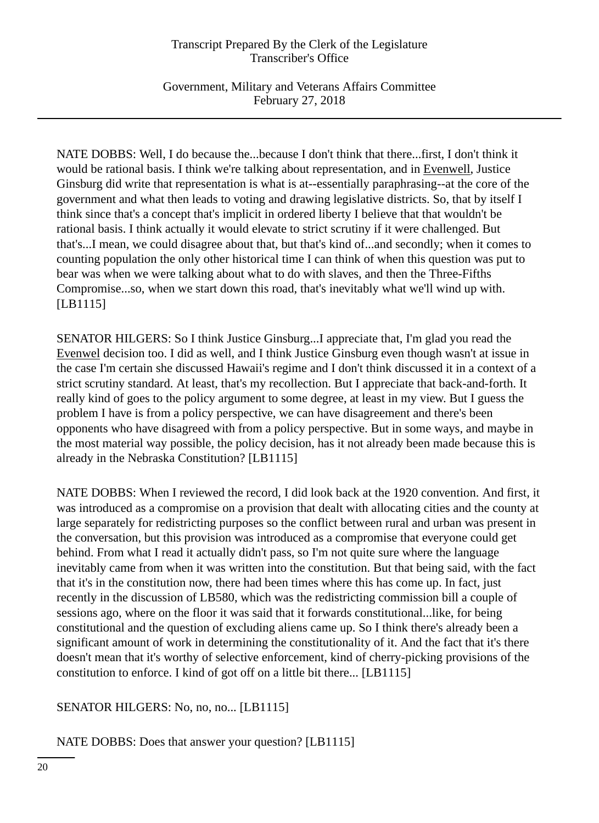Government, Military and Veterans Affairs Committee February 27, 2018

NATE DOBBS: Well, I do because the...because I don't think that there...first, I don't think it would be rational basis. I think we're talking about representation, and in Evenwell, Justice Ginsburg did write that representation is what is at--essentially paraphrasing--at the core of the government and what then leads to voting and drawing legislative districts. So, that by itself I think since that's a concept that's implicit in ordered liberty I believe that that wouldn't be rational basis. I think actually it would elevate to strict scrutiny if it were challenged. But that's...I mean, we could disagree about that, but that's kind of...and secondly; when it comes to counting population the only other historical time I can think of when this question was put to bear was when we were talking about what to do with slaves, and then the Three-Fifths Compromise...so, when we start down this road, that's inevitably what we'll wind up with. [LB1115]

SENATOR HILGERS: So I think Justice Ginsburg...I appreciate that, I'm glad you read the Evenwel decision too. I did as well, and I think Justice Ginsburg even though wasn't at issue in the case I'm certain she discussed Hawaii's regime and I don't think discussed it in a context of a strict scrutiny standard. At least, that's my recollection. But I appreciate that back-and-forth. It really kind of goes to the policy argument to some degree, at least in my view. But I guess the problem I have is from a policy perspective, we can have disagreement and there's been opponents who have disagreed with from a policy perspective. But in some ways, and maybe in the most material way possible, the policy decision, has it not already been made because this is already in the Nebraska Constitution? [LB1115]

NATE DOBBS: When I reviewed the record, I did look back at the 1920 convention. And first, it was introduced as a compromise on a provision that dealt with allocating cities and the county at large separately for redistricting purposes so the conflict between rural and urban was present in the conversation, but this provision was introduced as a compromise that everyone could get behind. From what I read it actually didn't pass, so I'm not quite sure where the language inevitably came from when it was written into the constitution. But that being said, with the fact that it's in the constitution now, there had been times where this has come up. In fact, just recently in the discussion of LB580, which was the redistricting commission bill a couple of sessions ago, where on the floor it was said that it forwards constitutional...like, for being constitutional and the question of excluding aliens came up. So I think there's already been a significant amount of work in determining the constitutionality of it. And the fact that it's there doesn't mean that it's worthy of selective enforcement, kind of cherry-picking provisions of the constitution to enforce. I kind of got off on a little bit there... [LB1115]

SENATOR HILGERS: No, no, no... [LB1115]

NATE DOBBS: Does that answer your question? [LB1115]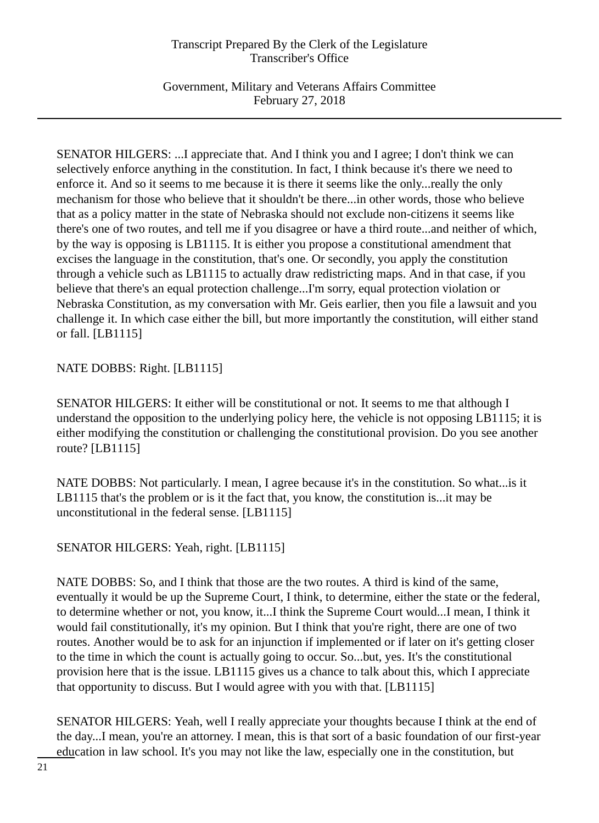Government, Military and Veterans Affairs Committee February 27, 2018

SENATOR HILGERS: ...I appreciate that. And I think you and I agree; I don't think we can selectively enforce anything in the constitution. In fact, I think because it's there we need to enforce it. And so it seems to me because it is there it seems like the only...really the only mechanism for those who believe that it shouldn't be there...in other words, those who believe that as a policy matter in the state of Nebraska should not exclude non-citizens it seems like there's one of two routes, and tell me if you disagree or have a third route...and neither of which, by the way is opposing is LB1115. It is either you propose a constitutional amendment that excises the language in the constitution, that's one. Or secondly, you apply the constitution through a vehicle such as LB1115 to actually draw redistricting maps. And in that case, if you believe that there's an equal protection challenge...I'm sorry, equal protection violation or Nebraska Constitution, as my conversation with Mr. Geis earlier, then you file a lawsuit and you challenge it. In which case either the bill, but more importantly the constitution, will either stand or fall. [LB1115]

## NATE DOBBS: Right. [LB1115]

SENATOR HILGERS: It either will be constitutional or not. It seems to me that although I understand the opposition to the underlying policy here, the vehicle is not opposing LB1115; it is either modifying the constitution or challenging the constitutional provision. Do you see another route? [LB1115]

NATE DOBBS: Not particularly. I mean, I agree because it's in the constitution. So what...is it LB1115 that's the problem or is it the fact that, you know, the constitution is... it may be unconstitutional in the federal sense. [LB1115]

# SENATOR HILGERS: Yeah, right. [LB1115]

NATE DOBBS: So, and I think that those are the two routes. A third is kind of the same, eventually it would be up the Supreme Court, I think, to determine, either the state or the federal, to determine whether or not, you know, it...I think the Supreme Court would...I mean, I think it would fail constitutionally, it's my opinion. But I think that you're right, there are one of two routes. Another would be to ask for an injunction if implemented or if later on it's getting closer to the time in which the count is actually going to occur. So...but, yes. It's the constitutional provision here that is the issue. LB1115 gives us a chance to talk about this, which I appreciate that opportunity to discuss. But I would agree with you with that. [LB1115]

SENATOR HILGERS: Yeah, well I really appreciate your thoughts because I think at the end of the day...I mean, you're an attorney. I mean, this is that sort of a basic foundation of our first-year education in law school. It's you may not like the law, especially one in the constitution, but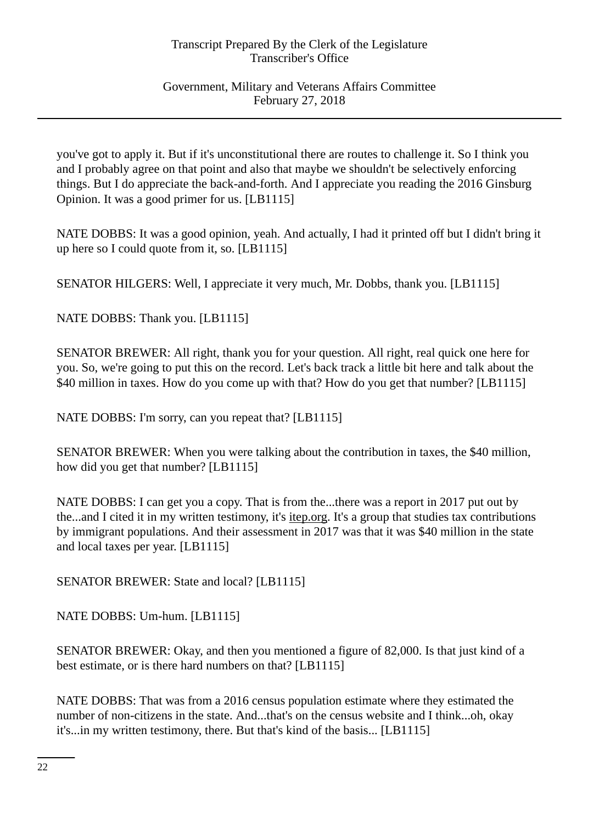Government, Military and Veterans Affairs Committee February 27, 2018

you've got to apply it. But if it's unconstitutional there are routes to challenge it. So I think you and I probably agree on that point and also that maybe we shouldn't be selectively enforcing things. But I do appreciate the back-and-forth. And I appreciate you reading the 2016 Ginsburg Opinion. It was a good primer for us. [LB1115]

NATE DOBBS: It was a good opinion, yeah. And actually, I had it printed off but I didn't bring it up here so I could quote from it, so. [LB1115]

SENATOR HILGERS: Well, I appreciate it very much, Mr. Dobbs, thank you. [LB1115]

NATE DOBBS: Thank you. [LB1115]

SENATOR BREWER: All right, thank you for your question. All right, real quick one here for you. So, we're going to put this on the record. Let's back track a little bit here and talk about the \$40 million in taxes. How do you come up with that? How do you get that number? [LB1115]

NATE DOBBS: I'm sorry, can you repeat that? [LB1115]

SENATOR BREWER: When you were talking about the contribution in taxes, the \$40 million, how did you get that number? [LB1115]

NATE DOBBS: I can get you a copy. That is from the...there was a report in 2017 put out by the...and I cited it in my written testimony, it's itep.org. It's a group that studies tax contributions by immigrant populations. And their assessment in 2017 was that it was \$40 million in the state and local taxes per year. [LB1115]

SENATOR BREWER: State and local? [LB1115]

NATE DOBBS: Um-hum. [LB1115]

SENATOR BREWER: Okay, and then you mentioned a figure of 82,000. Is that just kind of a best estimate, or is there hard numbers on that? [LB1115]

NATE DOBBS: That was from a 2016 census population estimate where they estimated the number of non-citizens in the state. And...that's on the census website and I think...oh, okay it's...in my written testimony, there. But that's kind of the basis... [LB1115]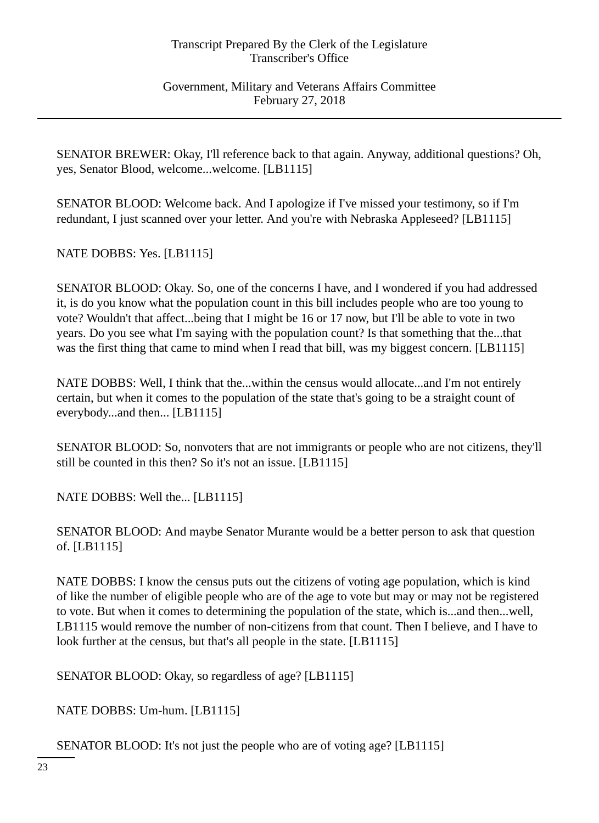Government, Military and Veterans Affairs Committee February 27, 2018

SENATOR BREWER: Okay, I'll reference back to that again. Anyway, additional questions? Oh, yes, Senator Blood, welcome...welcome. [LB1115]

SENATOR BLOOD: Welcome back. And I apologize if I've missed your testimony, so if I'm redundant, I just scanned over your letter. And you're with Nebraska Appleseed? [LB1115]

NATE DOBBS: Yes. [LB1115]

SENATOR BLOOD: Okay. So, one of the concerns I have, and I wondered if you had addressed it, is do you know what the population count in this bill includes people who are too young to vote? Wouldn't that affect...being that I might be 16 or 17 now, but I'll be able to vote in two years. Do you see what I'm saying with the population count? Is that something that the...that was the first thing that came to mind when I read that bill, was my biggest concern. [LB1115]

NATE DOBBS: Well, I think that the...within the census would allocate...and I'm not entirely certain, but when it comes to the population of the state that's going to be a straight count of everybody...and then... [LB1115]

SENATOR BLOOD: So, nonvoters that are not immigrants or people who are not citizens, they'll still be counted in this then? So it's not an issue. [LB1115]

NATE DOBBS: Well the... [LB1115]

SENATOR BLOOD: And maybe Senator Murante would be a better person to ask that question of. [LB1115]

NATE DOBBS: I know the census puts out the citizens of voting age population, which is kind of like the number of eligible people who are of the age to vote but may or may not be registered to vote. But when it comes to determining the population of the state, which is...and then...well, LB1115 would remove the number of non-citizens from that count. Then I believe, and I have to look further at the census, but that's all people in the state. [LB1115]

SENATOR BLOOD: Okay, so regardless of age? [LB1115]

NATE DOBBS: Um-hum. [LB1115]

SENATOR BLOOD: It's not just the people who are of voting age? [LB1115]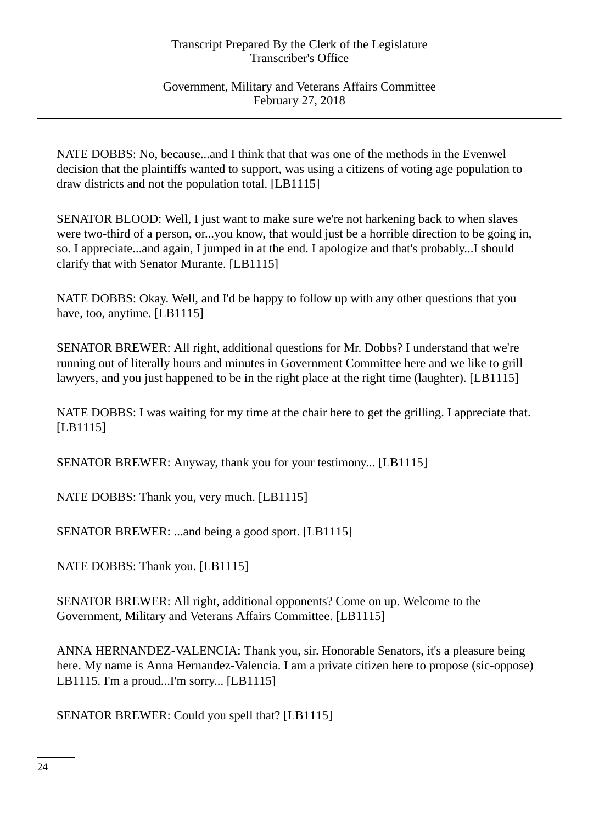Government, Military and Veterans Affairs Committee February 27, 2018

NATE DOBBS: No, because...and I think that that was one of the methods in the Evenwel decision that the plaintiffs wanted to support, was using a citizens of voting age population to draw districts and not the population total. [LB1115]

SENATOR BLOOD: Well, I just want to make sure we're not harkening back to when slaves were two-third of a person, or...you know, that would just be a horrible direction to be going in, so. I appreciate...and again, I jumped in at the end. I apologize and that's probably...I should clarify that with Senator Murante. [LB1115]

NATE DOBBS: Okay. Well, and I'd be happy to follow up with any other questions that you have, too, anytime. [LB1115]

SENATOR BREWER: All right, additional questions for Mr. Dobbs? I understand that we're running out of literally hours and minutes in Government Committee here and we like to grill lawyers, and you just happened to be in the right place at the right time (laughter). [LB1115]

NATE DOBBS: I was waiting for my time at the chair here to get the grilling. I appreciate that. [LB1115]

SENATOR BREWER: Anyway, thank you for your testimony... [LB1115]

NATE DOBBS: Thank you, very much. [LB1115]

SENATOR BREWER: ...and being a good sport. [LB1115]

NATE DOBBS: Thank you. [LB1115]

SENATOR BREWER: All right, additional opponents? Come on up. Welcome to the Government, Military and Veterans Affairs Committee. [LB1115]

ANNA HERNANDEZ-VALENCIA: Thank you, sir. Honorable Senators, it's a pleasure being here. My name is Anna Hernandez-Valencia. I am a private citizen here to propose (sic-oppose) LB1115. I'm a proud...I'm sorry... [LB1115]

SENATOR BREWER: Could you spell that? [LB1115]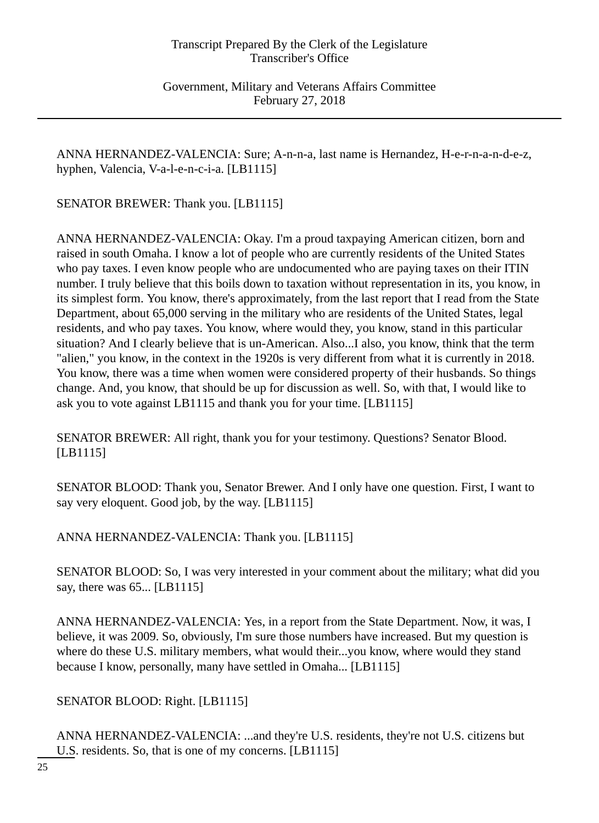Government, Military and Veterans Affairs Committee February 27, 2018

ANNA HERNANDEZ-VALENCIA: Sure; A-n-n-a, last name is Hernandez, H-e-r-n-a-n-d-e-z, hyphen, Valencia, V-a-l-e-n-c-i-a. [LB1115]

SENATOR BREWER: Thank you. [LB1115]

ANNA HERNANDEZ-VALENCIA: Okay. I'm a proud taxpaying American citizen, born and raised in south Omaha. I know a lot of people who are currently residents of the United States who pay taxes. I even know people who are undocumented who are paying taxes on their ITIN number. I truly believe that this boils down to taxation without representation in its, you know, in its simplest form. You know, there's approximately, from the last report that I read from the State Department, about 65,000 serving in the military who are residents of the United States, legal residents, and who pay taxes. You know, where would they, you know, stand in this particular situation? And I clearly believe that is un-American. Also...I also, you know, think that the term "alien," you know, in the context in the 1920s is very different from what it is currently in 2018. You know, there was a time when women were considered property of their husbands. So things change. And, you know, that should be up for discussion as well. So, with that, I would like to ask you to vote against LB1115 and thank you for your time. [LB1115]

SENATOR BREWER: All right, thank you for your testimony. Questions? Senator Blood. [LB1115]

SENATOR BLOOD: Thank you, Senator Brewer. And I only have one question. First, I want to say very eloquent. Good job, by the way. [LB1115]

ANNA HERNANDEZ-VALENCIA: Thank you. [LB1115]

SENATOR BLOOD: So, I was very interested in your comment about the military; what did you say, there was 65... [LB1115]

ANNA HERNANDEZ-VALENCIA: Yes, in a report from the State Department. Now, it was, I believe, it was 2009. So, obviously, I'm sure those numbers have increased. But my question is where do these U.S. military members, what would their...you know, where would they stand because I know, personally, many have settled in Omaha... [LB1115]

SENATOR BLOOD: Right. [LB1115]

ANNA HERNANDEZ-VALENCIA: ...and they're U.S. residents, they're not U.S. citizens but U.S. residents. So, that is one of my concerns. [LB1115]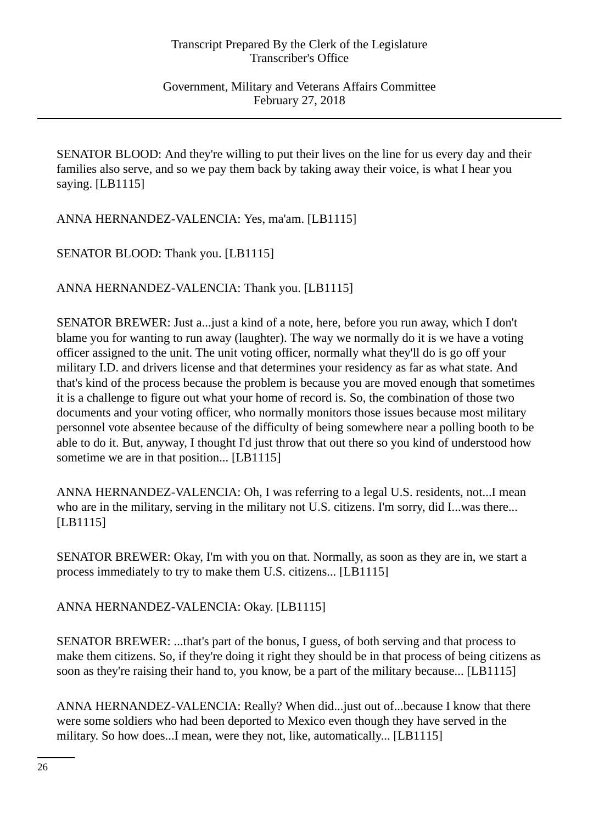SENATOR BLOOD: And they're willing to put their lives on the line for us every day and their families also serve, and so we pay them back by taking away their voice, is what I hear you saying. [LB1115]

ANNA HERNANDEZ-VALENCIA: Yes, ma'am. [LB1115]

SENATOR BLOOD: Thank you. [LB1115]

ANNA HERNANDEZ-VALENCIA: Thank you. [LB1115]

SENATOR BREWER: Just a...just a kind of a note, here, before you run away, which I don't blame you for wanting to run away (laughter). The way we normally do it is we have a voting officer assigned to the unit. The unit voting officer, normally what they'll do is go off your military I.D. and drivers license and that determines your residency as far as what state. And that's kind of the process because the problem is because you are moved enough that sometimes it is a challenge to figure out what your home of record is. So, the combination of those two documents and your voting officer, who normally monitors those issues because most military personnel vote absentee because of the difficulty of being somewhere near a polling booth to be able to do it. But, anyway, I thought I'd just throw that out there so you kind of understood how sometime we are in that position... [LB1115]

ANNA HERNANDEZ-VALENCIA: Oh, I was referring to a legal U.S. residents, not...I mean who are in the military, serving in the military not U.S. citizens. I'm sorry, did I...was there... [LB1115]

SENATOR BREWER: Okay, I'm with you on that. Normally, as soon as they are in, we start a process immediately to try to make them U.S. citizens... [LB1115]

ANNA HERNANDEZ-VALENCIA: Okay. [LB1115]

SENATOR BREWER: ...that's part of the bonus, I guess, of both serving and that process to make them citizens. So, if they're doing it right they should be in that process of being citizens as soon as they're raising their hand to, you know, be a part of the military because... [LB1115]

ANNA HERNANDEZ-VALENCIA: Really? When did...just out of...because I know that there were some soldiers who had been deported to Mexico even though they have served in the military. So how does...I mean, were they not, like, automatically... [LB1115]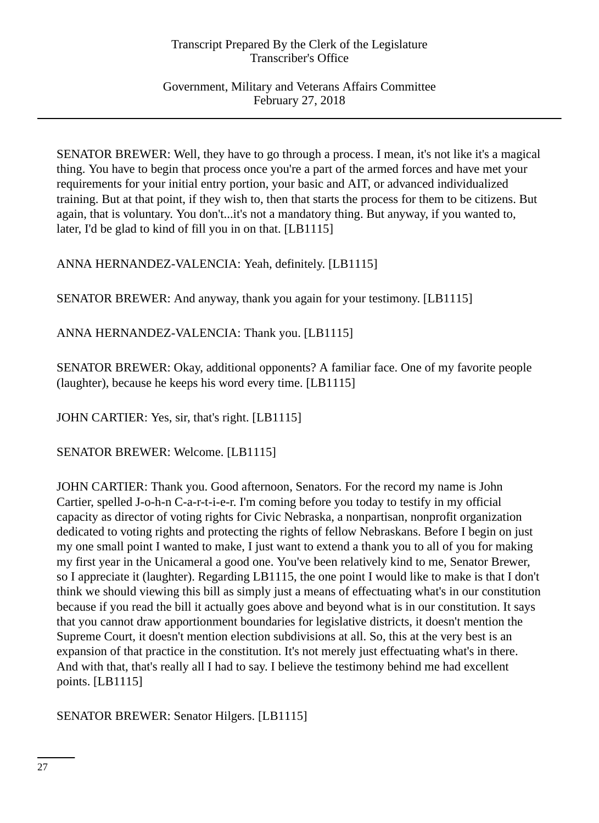Government, Military and Veterans Affairs Committee February 27, 2018

SENATOR BREWER: Well, they have to go through a process. I mean, it's not like it's a magical thing. You have to begin that process once you're a part of the armed forces and have met your requirements for your initial entry portion, your basic and AIT, or advanced individualized training. But at that point, if they wish to, then that starts the process for them to be citizens. But again, that is voluntary. You don't...it's not a mandatory thing. But anyway, if you wanted to, later, I'd be glad to kind of fill you in on that. [LB1115]

ANNA HERNANDEZ-VALENCIA: Yeah, definitely. [LB1115]

SENATOR BREWER: And anyway, thank you again for your testimony. [LB1115]

ANNA HERNANDEZ-VALENCIA: Thank you. [LB1115]

SENATOR BREWER: Okay, additional opponents? A familiar face. One of my favorite people (laughter), because he keeps his word every time. [LB1115]

JOHN CARTIER: Yes, sir, that's right. [LB1115]

SENATOR BREWER: Welcome. [LB1115]

JOHN CARTIER: Thank you. Good afternoon, Senators. For the record my name is John Cartier, spelled J-o-h-n C-a-r-t-i-e-r. I'm coming before you today to testify in my official capacity as director of voting rights for Civic Nebraska, a nonpartisan, nonprofit organization dedicated to voting rights and protecting the rights of fellow Nebraskans. Before I begin on just my one small point I wanted to make, I just want to extend a thank you to all of you for making my first year in the Unicameral a good one. You've been relatively kind to me, Senator Brewer, so I appreciate it (laughter). Regarding LB1115, the one point I would like to make is that I don't think we should viewing this bill as simply just a means of effectuating what's in our constitution because if you read the bill it actually goes above and beyond what is in our constitution. It says that you cannot draw apportionment boundaries for legislative districts, it doesn't mention the Supreme Court, it doesn't mention election subdivisions at all. So, this at the very best is an expansion of that practice in the constitution. It's not merely just effectuating what's in there. And with that, that's really all I had to say. I believe the testimony behind me had excellent points. [LB1115]

SENATOR BREWER: Senator Hilgers. [LB1115]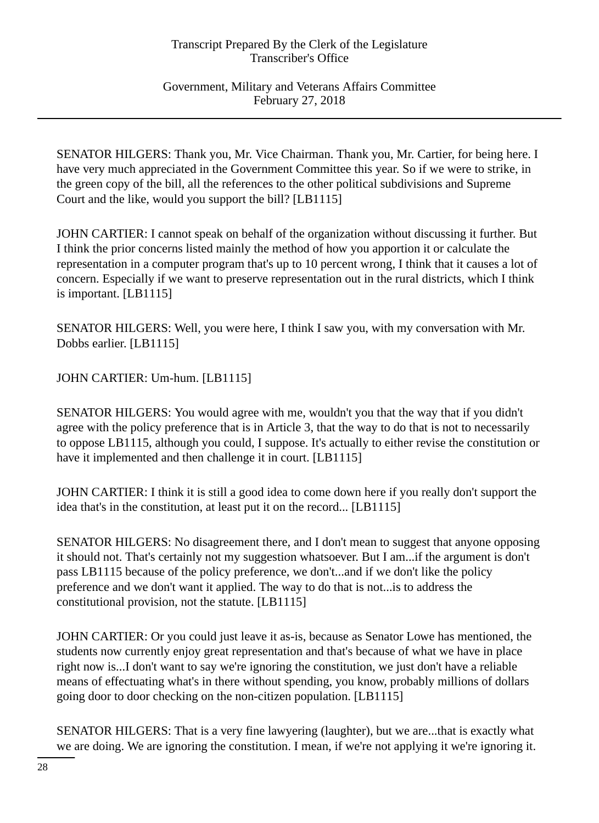Government, Military and Veterans Affairs Committee February 27, 2018

SENATOR HILGERS: Thank you, Mr. Vice Chairman. Thank you, Mr. Cartier, for being here. I have very much appreciated in the Government Committee this year. So if we were to strike, in the green copy of the bill, all the references to the other political subdivisions and Supreme Court and the like, would you support the bill? [LB1115]

JOHN CARTIER: I cannot speak on behalf of the organization without discussing it further. But I think the prior concerns listed mainly the method of how you apportion it or calculate the representation in a computer program that's up to 10 percent wrong, I think that it causes a lot of concern. Especially if we want to preserve representation out in the rural districts, which I think is important. [LB1115]

SENATOR HILGERS: Well, you were here, I think I saw you, with my conversation with Mr. Dobbs earlier. [LB1115]

JOHN CARTIER: Um-hum. [LB1115]

SENATOR HILGERS: You would agree with me, wouldn't you that the way that if you didn't agree with the policy preference that is in Article 3, that the way to do that is not to necessarily to oppose LB1115, although you could, I suppose. It's actually to either revise the constitution or have it implemented and then challenge it in court. [LB1115]

JOHN CARTIER: I think it is still a good idea to come down here if you really don't support the idea that's in the constitution, at least put it on the record... [LB1115]

SENATOR HILGERS: No disagreement there, and I don't mean to suggest that anyone opposing it should not. That's certainly not my suggestion whatsoever. But I am...if the argument is don't pass LB1115 because of the policy preference, we don't...and if we don't like the policy preference and we don't want it applied. The way to do that is not...is to address the constitutional provision, not the statute. [LB1115]

JOHN CARTIER: Or you could just leave it as-is, because as Senator Lowe has mentioned, the students now currently enjoy great representation and that's because of what we have in place right now is...I don't want to say we're ignoring the constitution, we just don't have a reliable means of effectuating what's in there without spending, you know, probably millions of dollars going door to door checking on the non-citizen population. [LB1115]

SENATOR HILGERS: That is a very fine lawyering (laughter), but we are...that is exactly what we are doing. We are ignoring the constitution. I mean, if we're not applying it we're ignoring it.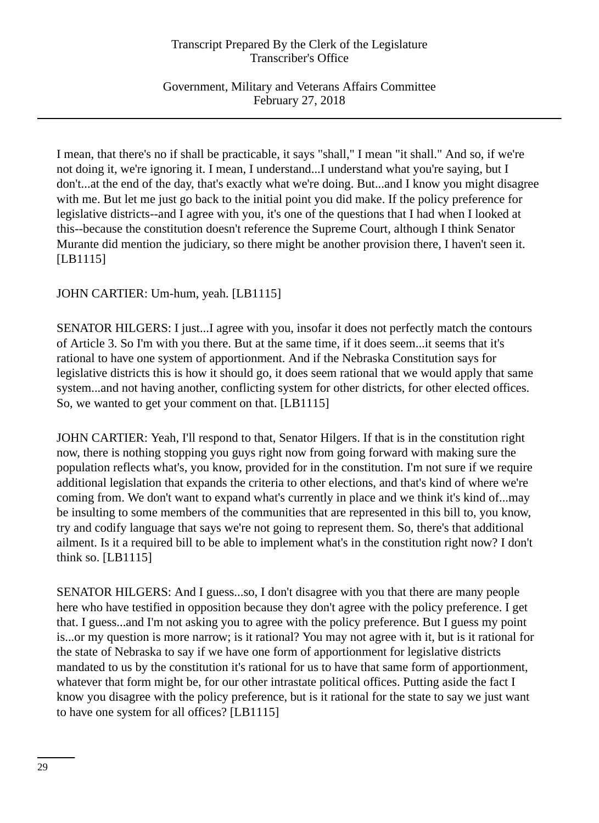Government, Military and Veterans Affairs Committee February 27, 2018

I mean, that there's no if shall be practicable, it says "shall," I mean "it shall." And so, if we're not doing it, we're ignoring it. I mean, I understand...I understand what you're saying, but I don't...at the end of the day, that's exactly what we're doing. But...and I know you might disagree with me. But let me just go back to the initial point you did make. If the policy preference for legislative districts--and I agree with you, it's one of the questions that I had when I looked at this--because the constitution doesn't reference the Supreme Court, although I think Senator Murante did mention the judiciary, so there might be another provision there, I haven't seen it. [LB1115]

JOHN CARTIER: Um-hum, yeah. [LB1115]

SENATOR HILGERS: I just...I agree with you, insofar it does not perfectly match the contours of Article 3. So I'm with you there. But at the same time, if it does seem...it seems that it's rational to have one system of apportionment. And if the Nebraska Constitution says for legislative districts this is how it should go, it does seem rational that we would apply that same system...and not having another, conflicting system for other districts, for other elected offices. So, we wanted to get your comment on that. [LB1115]

JOHN CARTIER: Yeah, I'll respond to that, Senator Hilgers. If that is in the constitution right now, there is nothing stopping you guys right now from going forward with making sure the population reflects what's, you know, provided for in the constitution. I'm not sure if we require additional legislation that expands the criteria to other elections, and that's kind of where we're coming from. We don't want to expand what's currently in place and we think it's kind of...may be insulting to some members of the communities that are represented in this bill to, you know, try and codify language that says we're not going to represent them. So, there's that additional ailment. Is it a required bill to be able to implement what's in the constitution right now? I don't think so. [LB1115]

SENATOR HILGERS: And I guess...so, I don't disagree with you that there are many people here who have testified in opposition because they don't agree with the policy preference. I get that. I guess...and I'm not asking you to agree with the policy preference. But I guess my point is...or my question is more narrow; is it rational? You may not agree with it, but is it rational for the state of Nebraska to say if we have one form of apportionment for legislative districts mandated to us by the constitution it's rational for us to have that same form of apportionment, whatever that form might be, for our other intrastate political offices. Putting aside the fact I know you disagree with the policy preference, but is it rational for the state to say we just want to have one system for all offices? [LB1115]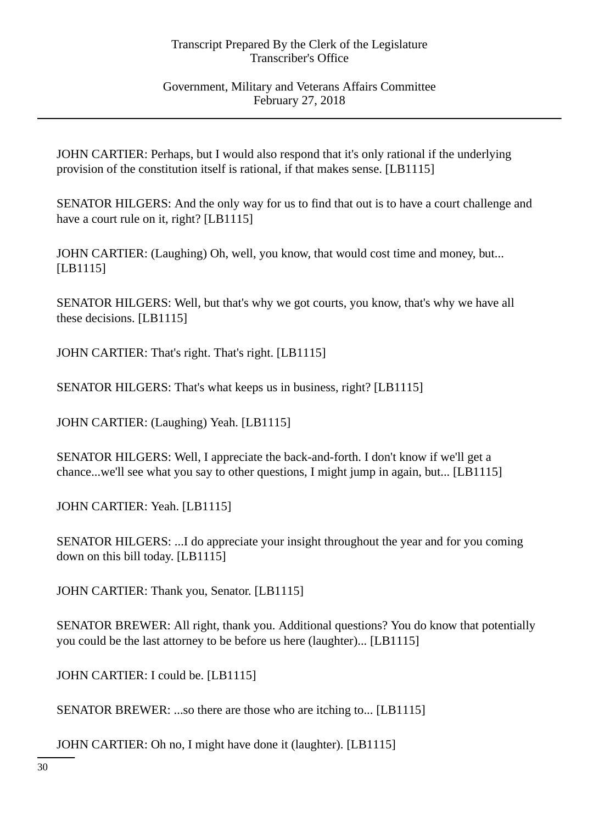Government, Military and Veterans Affairs Committee February 27, 2018

JOHN CARTIER: Perhaps, but I would also respond that it's only rational if the underlying provision of the constitution itself is rational, if that makes sense. [LB1115]

SENATOR HILGERS: And the only way for us to find that out is to have a court challenge and have a court rule on it, right? [LB1115]

JOHN CARTIER: (Laughing) Oh, well, you know, that would cost time and money, but... [LB1115]

SENATOR HILGERS: Well, but that's why we got courts, you know, that's why we have all these decisions. [LB1115]

JOHN CARTIER: That's right. That's right. [LB1115]

SENATOR HILGERS: That's what keeps us in business, right? [LB1115]

JOHN CARTIER: (Laughing) Yeah. [LB1115]

SENATOR HILGERS: Well, I appreciate the back-and-forth. I don't know if we'll get a chance...we'll see what you say to other questions, I might jump in again, but... [LB1115]

JOHN CARTIER: Yeah. [LB1115]

SENATOR HILGERS: ...I do appreciate your insight throughout the year and for you coming down on this bill today. [LB1115]

JOHN CARTIER: Thank you, Senator. [LB1115]

SENATOR BREWER: All right, thank you. Additional questions? You do know that potentially you could be the last attorney to be before us here (laughter)... [LB1115]

JOHN CARTIER: I could be. [LB1115]

SENATOR BREWER: ...so there are those who are itching to... [LB1115]

JOHN CARTIER: Oh no, I might have done it (laughter). [LB1115]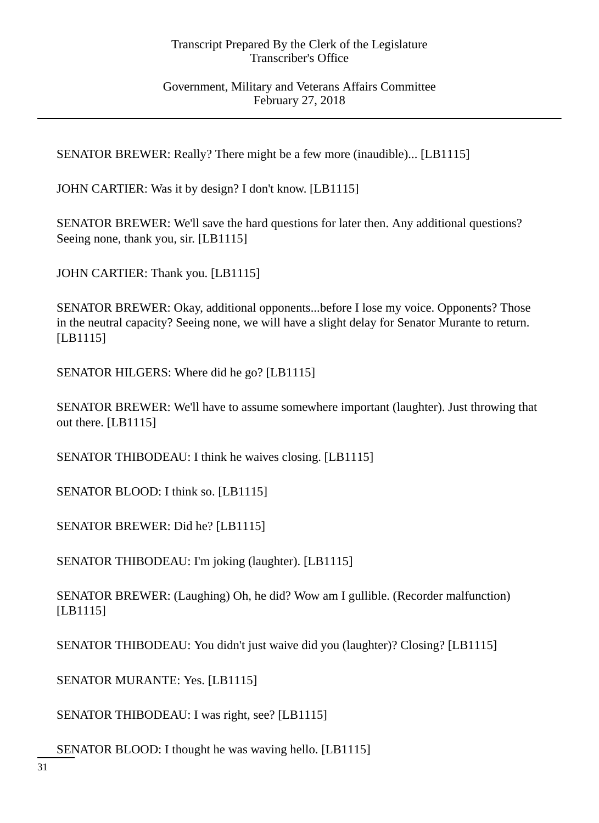Government, Military and Veterans Affairs Committee February 27, 2018

SENATOR BREWER: Really? There might be a few more (inaudible)... [LB1115]

JOHN CARTIER: Was it by design? I don't know. [LB1115]

SENATOR BREWER: We'll save the hard questions for later then. Any additional questions? Seeing none, thank you, sir. [LB1115]

JOHN CARTIER: Thank you. [LB1115]

SENATOR BREWER: Okay, additional opponents...before I lose my voice. Opponents? Those in the neutral capacity? Seeing none, we will have a slight delay for Senator Murante to return. [LB1115]

SENATOR HILGERS: Where did he go? [LB1115]

SENATOR BREWER: We'll have to assume somewhere important (laughter). Just throwing that out there. [LB1115]

SENATOR THIBODEAU: I think he waives closing. [LB1115]

SENATOR BLOOD: I think so. [LB1115]

SENATOR BREWER: Did he? [LB1115]

SENATOR THIBODEAU: I'm joking (laughter). [LB1115]

SENATOR BREWER: (Laughing) Oh, he did? Wow am I gullible. (Recorder malfunction) [LB1115]

SENATOR THIBODEAU: You didn't just waive did you (laughter)? Closing? [LB1115]

SENATOR MURANTE: Yes. [LB1115]

SENATOR THIBODEAU: I was right, see? [LB1115]

SENATOR BLOOD: I thought he was waving hello. [LB1115]